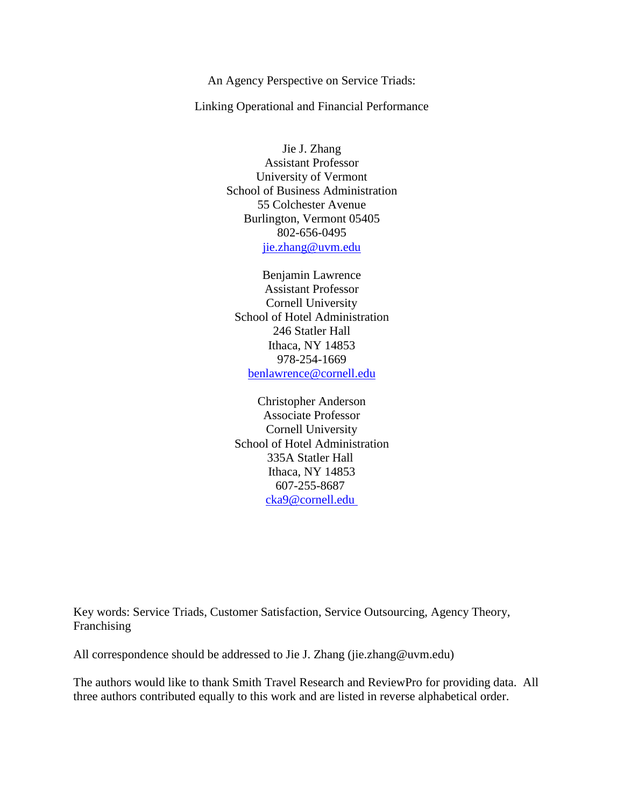An Agency Perspective on Service Triads:

Linking Operational and Financial Performance

Jie J. Zhang Assistant Professor University of Vermont School of Business Administration 55 Colchester Avenue Burlington, Vermont 05405 802-656-0495 jie.zhang@uvm.edu

Benjamin Lawrence Assistant Professor Cornell University School of Hotel Administration 246 Statler Hall Ithaca, NY 14853 978-254-1669 [benlawrence@cornell.edu](mailto:benlawrence@cornell.edu)

Christopher Anderson Associate Professor Cornell University School of Hotel Administration 335A Statler Hall Ithaca, NY 14853 607-255-8687 [cka9@cornell.edu](mailto:cka9@cornell.edu)

Key words: Service Triads, Customer Satisfaction, Service Outsourcing, Agency Theory, Franchising

All correspondence should be addressed to Jie J. Zhang (jie.zhang@uvm.edu)

The authors would like to thank Smith Travel Research and ReviewPro for providing data. All three authors contributed equally to this work and are listed in reverse alphabetical order.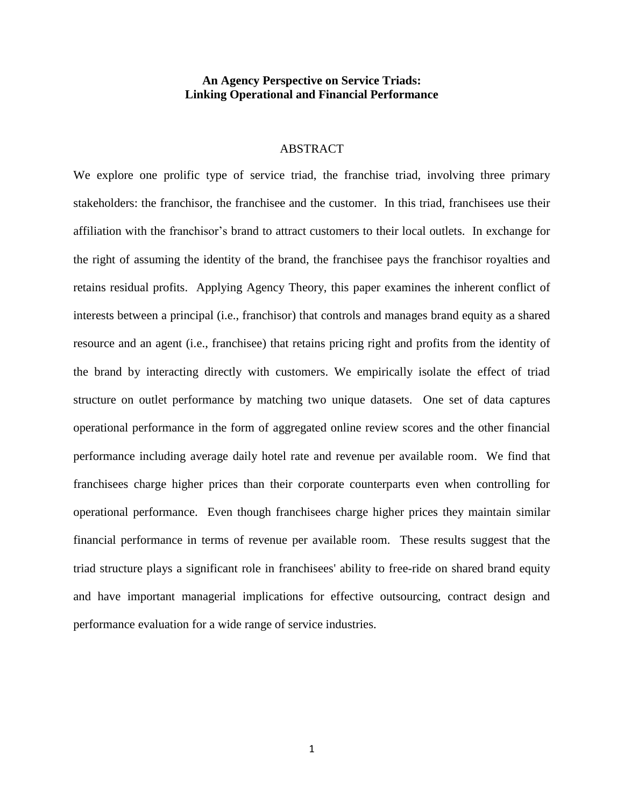# **An Agency Perspective on Service Triads: Linking Operational and Financial Performance**

## **ABSTRACT**

We explore one prolific type of service triad, the franchise triad, involving three primary stakeholders: the franchisor, the franchisee and the customer. In this triad, franchisees use their affiliation with the franchisor's brand to attract customers to their local outlets. In exchange for the right of assuming the identity of the brand, the franchisee pays the franchisor royalties and retains residual profits. Applying Agency Theory, this paper examines the inherent conflict of interests between a principal (i.e., franchisor) that controls and manages brand equity as a shared resource and an agent (i.e., franchisee) that retains pricing right and profits from the identity of the brand by interacting directly with customers. We empirically isolate the effect of triad structure on outlet performance by matching two unique datasets. One set of data captures operational performance in the form of aggregated online review scores and the other financial performance including average daily hotel rate and revenue per available room. We find that franchisees charge higher prices than their corporate counterparts even when controlling for operational performance. Even though franchisees charge higher prices they maintain similar financial performance in terms of revenue per available room. These results suggest that the triad structure plays a significant role in franchisees' ability to free-ride on shared brand equity and have important managerial implications for effective outsourcing, contract design and performance evaluation for a wide range of service industries.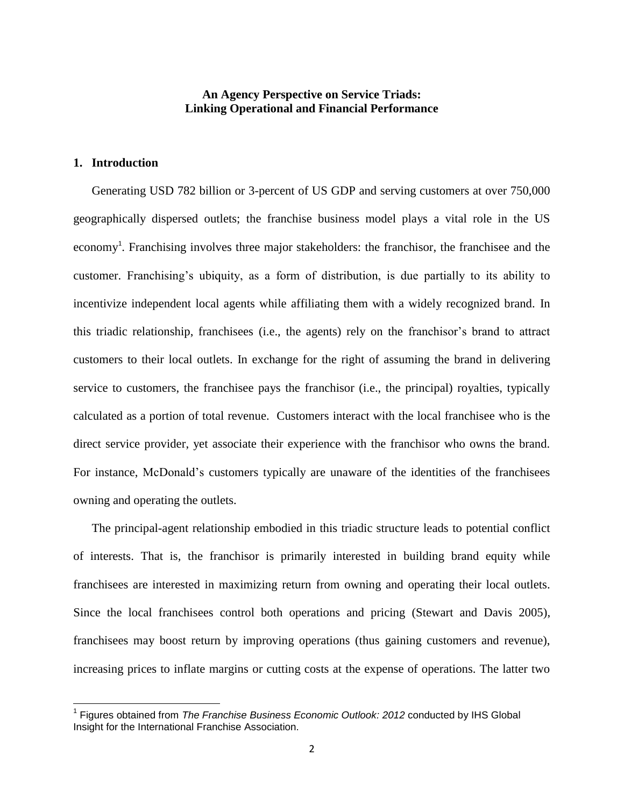# **An Agency Perspective on Service Triads: Linking Operational and Financial Performance**

# **1. Introduction**

 $\overline{\phantom{a}}$ 

Generating USD 782 billion or 3-percent of US GDP and serving customers at over 750,000 geographically dispersed outlets; the franchise business model plays a vital role in the US economy<sup>1</sup>. Franchising involves three major stakeholders: the franchisor, the franchisee and the customer. Franchising's ubiquity, as a form of distribution, is due partially to its ability to incentivize independent local agents while affiliating them with a widely recognized brand. In this triadic relationship, franchisees (i.e., the agents) rely on the franchisor's brand to attract customers to their local outlets. In exchange for the right of assuming the brand in delivering service to customers, the franchisee pays the franchisor (i.e., the principal) royalties, typically calculated as a portion of total revenue. Customers interact with the local franchisee who is the direct service provider, yet associate their experience with the franchisor who owns the brand. For instance, McDonald's customers typically are unaware of the identities of the franchisees owning and operating the outlets.

The principal-agent relationship embodied in this triadic structure leads to potential conflict of interests. That is, the franchisor is primarily interested in building brand equity while franchisees are interested in maximizing return from owning and operating their local outlets. Since the local franchisees control both operations and pricing (Stewart and Davis 2005), franchisees may boost return by improving operations (thus gaining customers and revenue), increasing prices to inflate margins or cutting costs at the expense of operations. The latter two

<sup>&</sup>lt;sup>1</sup> Figures obtained from *The Franchise Business Economic Outlook: 2012* conducted by IHS Global Insight for the International Franchise Association.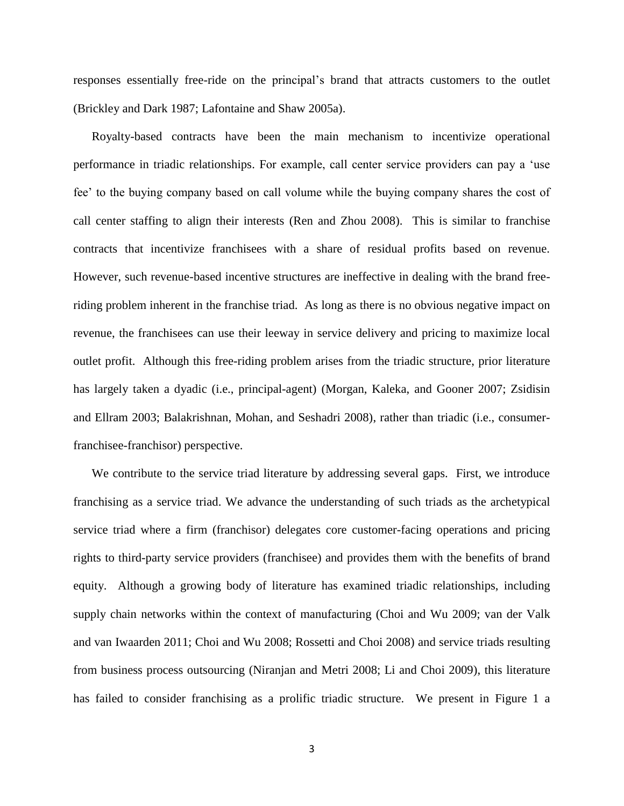responses essentially free-ride on the principal's brand that attracts customers to the outlet (Brickley and Dark 1987; Lafontaine and Shaw 2005a).

Royalty-based contracts have been the main mechanism to incentivize operational performance in triadic relationships. For example, call center service providers can pay a 'use fee' to the buying company based on call volume while the buying company shares the cost of call center staffing to align their interests (Ren and Zhou 2008). This is similar to franchise contracts that incentivize franchisees with a share of residual profits based on revenue. However, such revenue-based incentive structures are ineffective in dealing with the brand freeriding problem inherent in the franchise triad. As long as there is no obvious negative impact on revenue, the franchisees can use their leeway in service delivery and pricing to maximize local outlet profit. Although this free-riding problem arises from the triadic structure, prior literature has largely taken a dyadic (i.e., principal-agent) (Morgan, Kaleka, and Gooner 2007; Zsidisin and Ellram 2003; Balakrishnan, Mohan, and Seshadri 2008), rather than triadic (i.e., consumerfranchisee-franchisor) perspective.

We contribute to the service triad literature by addressing several gaps. First, we introduce franchising as a service triad. We advance the understanding of such triads as the archetypical service triad where a firm (franchisor) delegates core customer-facing operations and pricing rights to third-party service providers (franchisee) and provides them with the benefits of brand equity. Although a growing body of literature has examined triadic relationships, including supply chain networks within the context of manufacturing (Choi and Wu 2009; van der Valk and van Iwaarden 2011; Choi and Wu 2008; Rossetti and Choi 2008) and service triads resulting from business process outsourcing (Niranjan and Metri 2008; Li and Choi 2009), this literature has failed to consider franchising as a prolific triadic structure. We present in Figure 1 a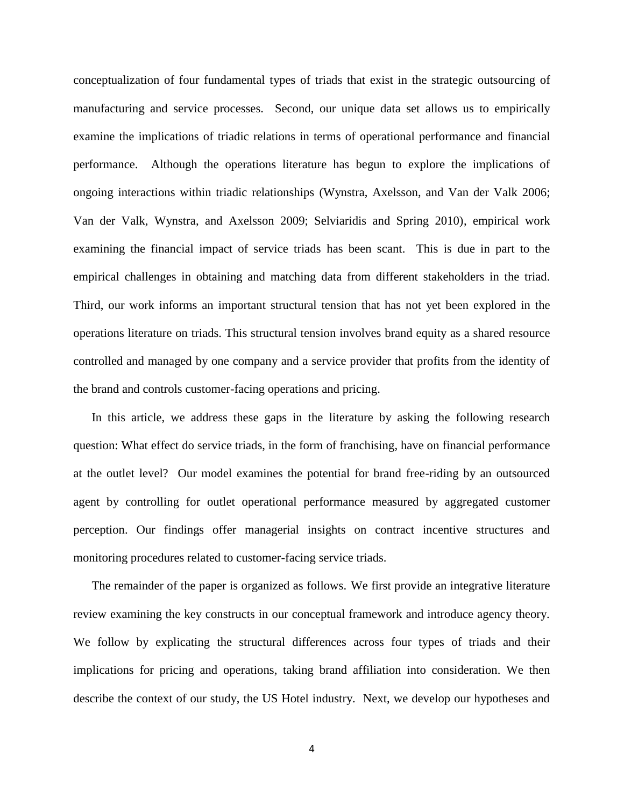conceptualization of four fundamental types of triads that exist in the strategic outsourcing of manufacturing and service processes. Second, our unique data set allows us to empirically examine the implications of triadic relations in terms of operational performance and financial performance. Although the operations literature has begun to explore the implications of ongoing interactions within triadic relationships (Wynstra, Axelsson, and Van der Valk 2006; Van der Valk, Wynstra, and Axelsson 2009; Selviaridis and Spring 2010), empirical work examining the financial impact of service triads has been scant. This is due in part to the empirical challenges in obtaining and matching data from different stakeholders in the triad. Third, our work informs an important structural tension that has not yet been explored in the operations literature on triads. This structural tension involves brand equity as a shared resource controlled and managed by one company and a service provider that profits from the identity of the brand and controls customer-facing operations and pricing.

In this article, we address these gaps in the literature by asking the following research question: What effect do service triads, in the form of franchising, have on financial performance at the outlet level? Our model examines the potential for brand free-riding by an outsourced agent by controlling for outlet operational performance measured by aggregated customer perception. Our findings offer managerial insights on contract incentive structures and monitoring procedures related to customer-facing service triads.

The remainder of the paper is organized as follows. We first provide an integrative literature review examining the key constructs in our conceptual framework and introduce agency theory. We follow by explicating the structural differences across four types of triads and their implications for pricing and operations, taking brand affiliation into consideration. We then describe the context of our study, the US Hotel industry. Next, we develop our hypotheses and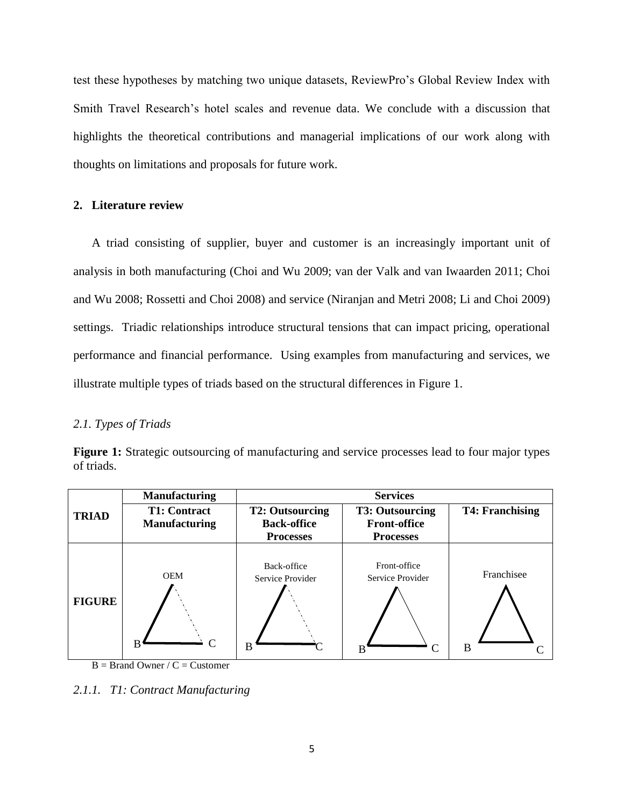test these hypotheses by matching two unique datasets, ReviewPro's Global Review Index with Smith Travel Research's hotel scales and revenue data. We conclude with a discussion that highlights the theoretical contributions and managerial implications of our work along with thoughts on limitations and proposals for future work.

## **2. Literature review**

A triad consisting of supplier, buyer and customer is an increasingly important unit of analysis in both manufacturing (Choi and Wu 2009; van der Valk and van Iwaarden 2011; Choi and Wu 2008; Rossetti and Choi 2008) and service (Niranjan and Metri 2008; Li and Choi 2009) settings. Triadic relationships introduce structural tensions that can impact pricing, operational performance and financial performance. Using examples from manufacturing and services, we illustrate multiple types of triads based on the structural differences in Figure 1.

## *2.1. Types of Triads*

|               | <b>Manufacturing</b>                        | <b>Services</b>                                                  |                                                                   |                        |  |
|---------------|---------------------------------------------|------------------------------------------------------------------|-------------------------------------------------------------------|------------------------|--|
| <b>TRIAD</b>  | <b>T1: Contract</b><br><b>Manufacturing</b> | <b>T2: Outsourcing</b><br><b>Back-office</b><br><b>Processes</b> | <b>T3: Outsourcing</b><br><b>Front-office</b><br><b>Processes</b> | <b>T4: Franchising</b> |  |
| <b>FIGURE</b> | <b>OEM</b><br>C<br>B                        | Back-office<br>Service Provider<br>в                             | Front-office<br>Service Provider                                  | Franchisee<br>B        |  |

**Figure 1:** Strategic outsourcing of manufacturing and service processes lead to four major types of triads.

 $B = Brand$  Owner /  $C = Customer$ 

*2.1.1. T1: Contract Manufacturing*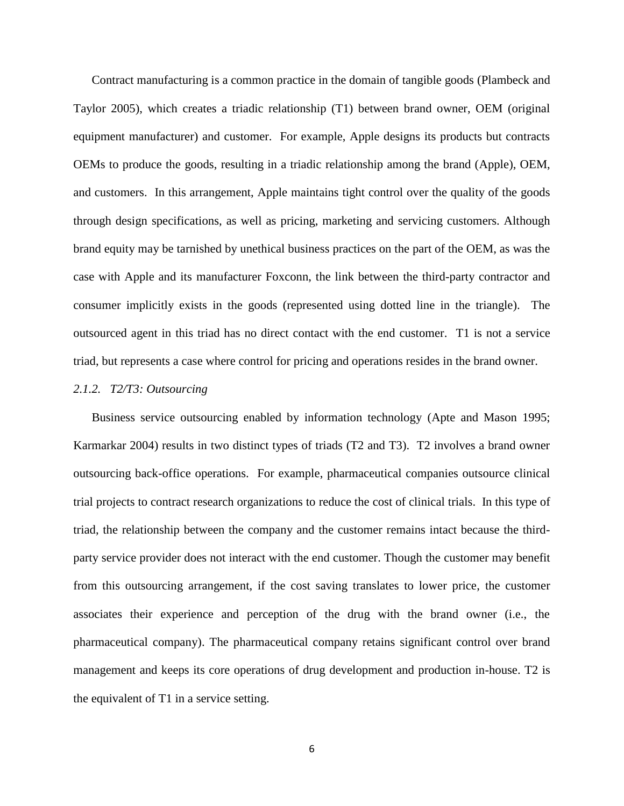Contract manufacturing is a common practice in the domain of tangible goods (Plambeck and Taylor 2005), which creates a triadic relationship (T1) between brand owner, OEM (original equipment manufacturer) and customer. For example, Apple designs its products but contracts OEMs to produce the goods, resulting in a triadic relationship among the brand (Apple), OEM, and customers. In this arrangement, Apple maintains tight control over the quality of the goods through design specifications, as well as pricing, marketing and servicing customers. Although brand equity may be tarnished by unethical business practices on the part of the OEM, as was the case with Apple and its manufacturer Foxconn, the link between the third-party contractor and consumer implicitly exists in the goods (represented using dotted line in the triangle). The outsourced agent in this triad has no direct contact with the end customer. T1 is not a service triad, but represents a case where control for pricing and operations resides in the brand owner.

### *2.1.2. T2/T3: Outsourcing*

Business service outsourcing enabled by information technology (Apte and Mason 1995; Karmarkar 2004) results in two distinct types of triads (T2 and T3). T2 involves a brand owner outsourcing back-office operations. For example, pharmaceutical companies outsource clinical trial projects to contract research organizations to reduce the cost of clinical trials. In this type of triad, the relationship between the company and the customer remains intact because the thirdparty service provider does not interact with the end customer. Though the customer may benefit from this outsourcing arrangement, if the cost saving translates to lower price, the customer associates their experience and perception of the drug with the brand owner (i.e., the pharmaceutical company). The pharmaceutical company retains significant control over brand management and keeps its core operations of drug development and production in-house. T2 is the equivalent of T1 in a service setting.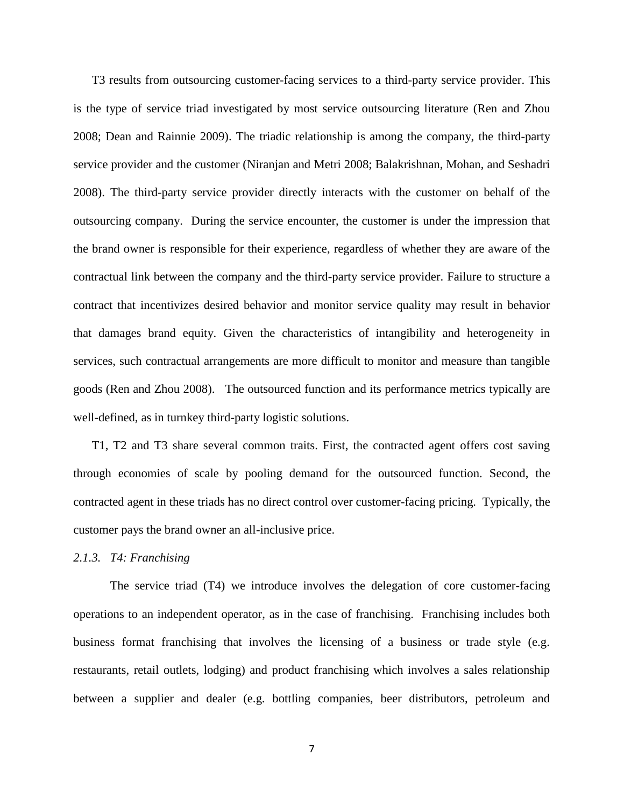T3 results from outsourcing customer-facing services to a third-party service provider. This is the type of service triad investigated by most service outsourcing literature (Ren and Zhou 2008; Dean and Rainnie 2009). The triadic relationship is among the company, the third-party service provider and the customer (Niranjan and Metri 2008; Balakrishnan, Mohan, and Seshadri 2008). The third-party service provider directly interacts with the customer on behalf of the outsourcing company. During the service encounter, the customer is under the impression that the brand owner is responsible for their experience, regardless of whether they are aware of the contractual link between the company and the third-party service provider. Failure to structure a contract that incentivizes desired behavior and monitor service quality may result in behavior that damages brand equity. Given the characteristics of intangibility and heterogeneity in services, such contractual arrangements are more difficult to monitor and measure than tangible goods (Ren and Zhou 2008). The outsourced function and its performance metrics typically are well-defined, as in turnkey third-party logistic solutions.

T1, T2 and T3 share several common traits. First, the contracted agent offers cost saving through economies of scale by pooling demand for the outsourced function. Second, the contracted agent in these triads has no direct control over customer-facing pricing. Typically, the customer pays the brand owner an all-inclusive price.

## *2.1.3. T4: Franchising*

The service triad (T4) we introduce involves the delegation of core customer-facing operations to an independent operator, as in the case of franchising. Franchising includes both business format franchising that involves the licensing of a business or trade style (e.g. restaurants, retail outlets, lodging) and product franchising which involves a sales relationship between a supplier and dealer (e.g. bottling companies, beer distributors, petroleum and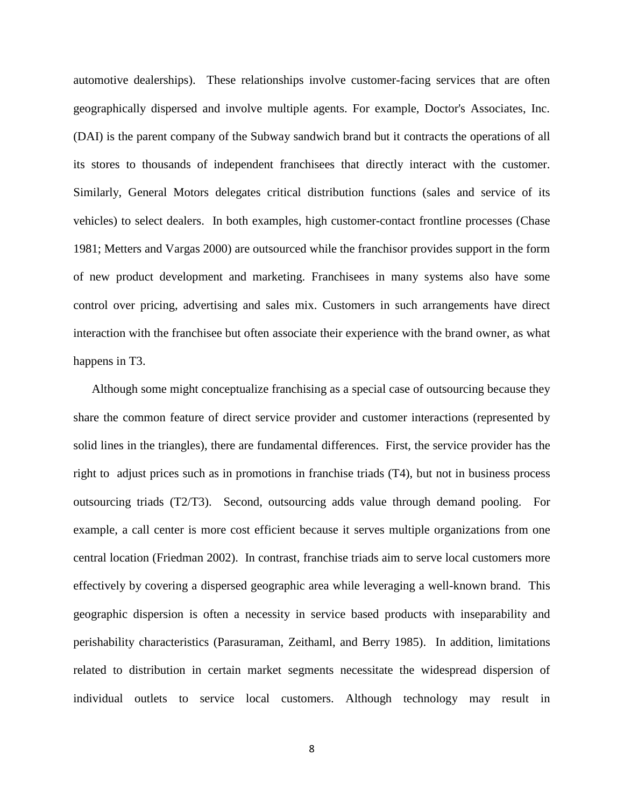automotive dealerships). These relationships involve customer-facing services that are often geographically dispersed and involve multiple agents. For example, Doctor's Associates, Inc. (DAI) is the parent company of the Subway sandwich brand but it contracts the operations of all its stores to thousands of independent franchisees that directly interact with the customer. Similarly, General Motors delegates critical distribution functions (sales and service of its vehicles) to select dealers. In both examples, high customer-contact frontline processes (Chase 1981; Metters and Vargas 2000) are outsourced while the franchisor provides support in the form of new product development and marketing. Franchisees in many systems also have some control over pricing, advertising and sales mix. Customers in such arrangements have direct interaction with the franchisee but often associate their experience with the brand owner, as what happens in T3.

Although some might conceptualize franchising as a special case of outsourcing because they share the common feature of direct service provider and customer interactions (represented by solid lines in the triangles), there are fundamental differences. First, the service provider has the right to adjust prices such as in promotions in franchise triads (T4), but not in business process outsourcing triads (T2/T3). Second, outsourcing adds value through demand pooling. For example, a call center is more cost efficient because it serves multiple organizations from one central location (Friedman 2002). In contrast, franchise triads aim to serve local customers more effectively by covering a dispersed geographic area while leveraging a well-known brand. This geographic dispersion is often a necessity in service based products with inseparability and perishability characteristics (Parasuraman, Zeithaml, and Berry 1985). In addition, limitations related to distribution in certain market segments necessitate the widespread dispersion of individual outlets to service local customers. Although technology may result in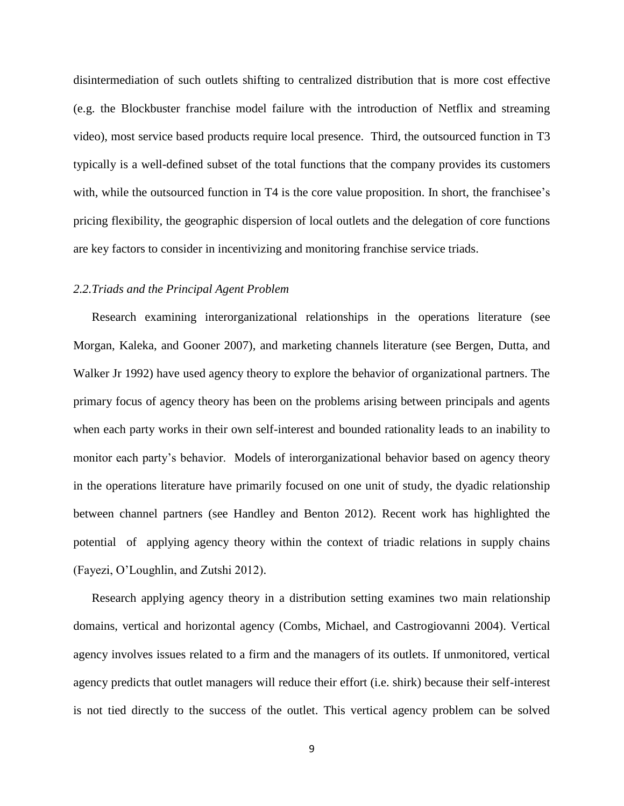disintermediation of such outlets shifting to centralized distribution that is more cost effective (e.g. the Blockbuster franchise model failure with the introduction of Netflix and streaming video), most service based products require local presence. Third, the outsourced function in T3 typically is a well-defined subset of the total functions that the company provides its customers with, while the outsourced function in T4 is the core value proposition. In short, the franchisee's pricing flexibility, the geographic dispersion of local outlets and the delegation of core functions are key factors to consider in incentivizing and monitoring franchise service triads.

# *2.2.Triads and the Principal Agent Problem*

Research examining interorganizational relationships in the operations literature (see Morgan, Kaleka, and Gooner 2007), and marketing channels literature (see Bergen, Dutta, and Walker Jr 1992) have used agency theory to explore the behavior of organizational partners. The primary focus of agency theory has been on the problems arising between principals and agents when each party works in their own self-interest and bounded rationality leads to an inability to monitor each party's behavior. Models of interorganizational behavior based on agency theory in the operations literature have primarily focused on one unit of study, the dyadic relationship between channel partners (see Handley and Benton 2012). Recent work has highlighted the potential of applying agency theory within the context of triadic relations in supply chains (Fayezi, O'Loughlin, and Zutshi 2012).

Research applying agency theory in a distribution setting examines two main relationship domains, vertical and horizontal agency (Combs, Michael, and Castrogiovanni 2004). Vertical agency involves issues related to a firm and the managers of its outlets. If unmonitored, vertical agency predicts that outlet managers will reduce their effort (i.e. shirk) because their self-interest is not tied directly to the success of the outlet. This vertical agency problem can be solved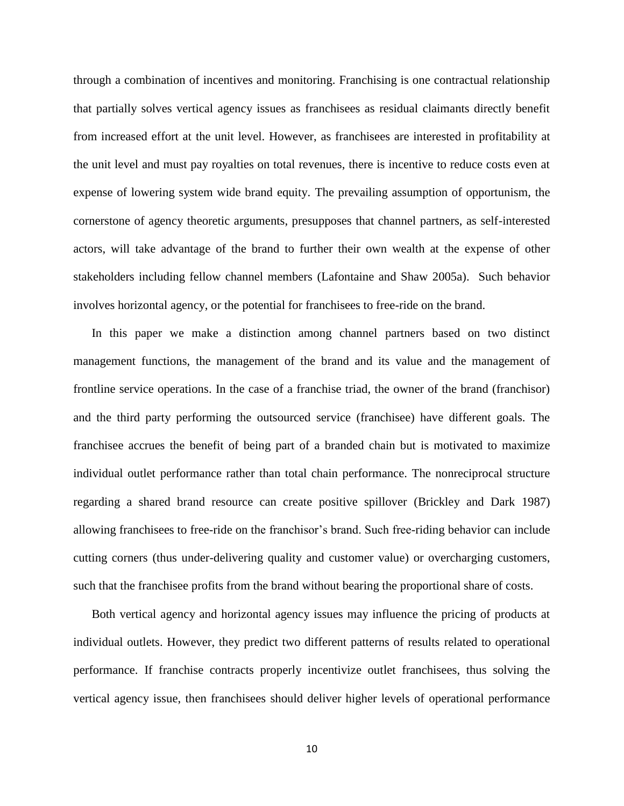through a combination of incentives and monitoring. Franchising is one contractual relationship that partially solves vertical agency issues as franchisees as residual claimants directly benefit from increased effort at the unit level. However, as franchisees are interested in profitability at the unit level and must pay royalties on total revenues, there is incentive to reduce costs even at expense of lowering system wide brand equity. The prevailing assumption of opportunism, the cornerstone of agency theoretic arguments, presupposes that channel partners, as self-interested actors, will take advantage of the brand to further their own wealth at the expense of other stakeholders including fellow channel members (Lafontaine and Shaw 2005a). Such behavior involves horizontal agency, or the potential for franchisees to free-ride on the brand.

In this paper we make a distinction among channel partners based on two distinct management functions, the management of the brand and its value and the management of frontline service operations. In the case of a franchise triad, the owner of the brand (franchisor) and the third party performing the outsourced service (franchisee) have different goals. The franchisee accrues the benefit of being part of a branded chain but is motivated to maximize individual outlet performance rather than total chain performance. The nonreciprocal structure regarding a shared brand resource can create positive spillover (Brickley and Dark 1987) allowing franchisees to free-ride on the franchisor's brand. Such free-riding behavior can include cutting corners (thus under-delivering quality and customer value) or overcharging customers, such that the franchisee profits from the brand without bearing the proportional share of costs.

Both vertical agency and horizontal agency issues may influence the pricing of products at individual outlets. However, they predict two different patterns of results related to operational performance. If franchise contracts properly incentivize outlet franchisees, thus solving the vertical agency issue, then franchisees should deliver higher levels of operational performance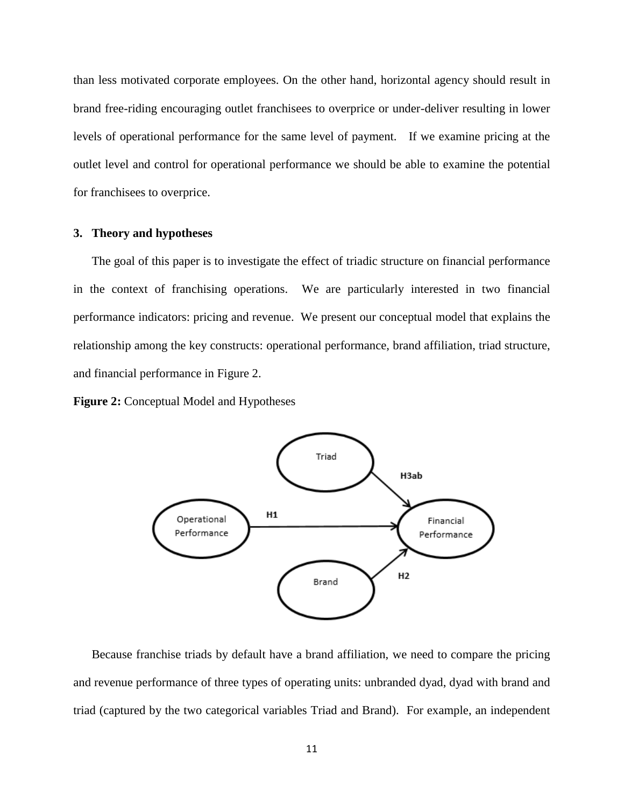than less motivated corporate employees. On the other hand, horizontal agency should result in brand free-riding encouraging outlet franchisees to overprice or under-deliver resulting in lower levels of operational performance for the same level of payment. If we examine pricing at the outlet level and control for operational performance we should be able to examine the potential for franchisees to overprice.

### **3. Theory and hypotheses**

The goal of this paper is to investigate the effect of triadic structure on financial performance in the context of franchising operations. We are particularly interested in two financial performance indicators: pricing and revenue. We present our conceptual model that explains the relationship among the key constructs: operational performance, brand affiliation, triad structure, and financial performance in Figure 2.

**Figure 2:** Conceptual Model and Hypotheses



Because franchise triads by default have a brand affiliation, we need to compare the pricing and revenue performance of three types of operating units: unbranded dyad, dyad with brand and triad (captured by the two categorical variables Triad and Brand). For example, an independent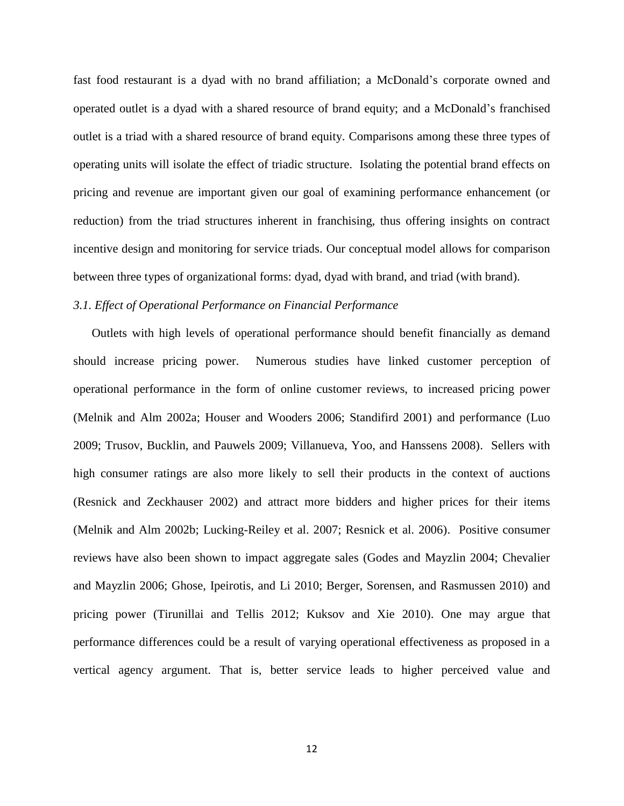fast food restaurant is a dyad with no brand affiliation; a McDonald's corporate owned and operated outlet is a dyad with a shared resource of brand equity; and a McDonald's franchised outlet is a triad with a shared resource of brand equity. Comparisons among these three types of operating units will isolate the effect of triadic structure. Isolating the potential brand effects on pricing and revenue are important given our goal of examining performance enhancement (or reduction) from the triad structures inherent in franchising, thus offering insights on contract incentive design and monitoring for service triads. Our conceptual model allows for comparison between three types of organizational forms: dyad, dyad with brand, and triad (with brand).

# *3.1. Effect of Operational Performance on Financial Performance*

Outlets with high levels of operational performance should benefit financially as demand should increase pricing power. Numerous studies have linked customer perception of operational performance in the form of online customer reviews, to increased pricing power (Melnik and Alm 2002a; Houser and Wooders 2006; Standifird 2001) and performance (Luo 2009; Trusov, Bucklin, and Pauwels 2009; Villanueva, Yoo, and Hanssens 2008). Sellers with high consumer ratings are also more likely to sell their products in the context of auctions (Resnick and Zeckhauser 2002) and attract more bidders and higher prices for their items (Melnik and Alm 2002b; Lucking-Reiley et al. 2007; Resnick et al. 2006). Positive consumer reviews have also been shown to impact aggregate sales (Godes and Mayzlin 2004; Chevalier and Mayzlin 2006; Ghose, Ipeirotis, and Li 2010; Berger, Sorensen, and Rasmussen 2010) and pricing power (Tirunillai and Tellis 2012; Kuksov and Xie 2010). One may argue that performance differences could be a result of varying operational effectiveness as proposed in a vertical agency argument. That is, better service leads to higher perceived value and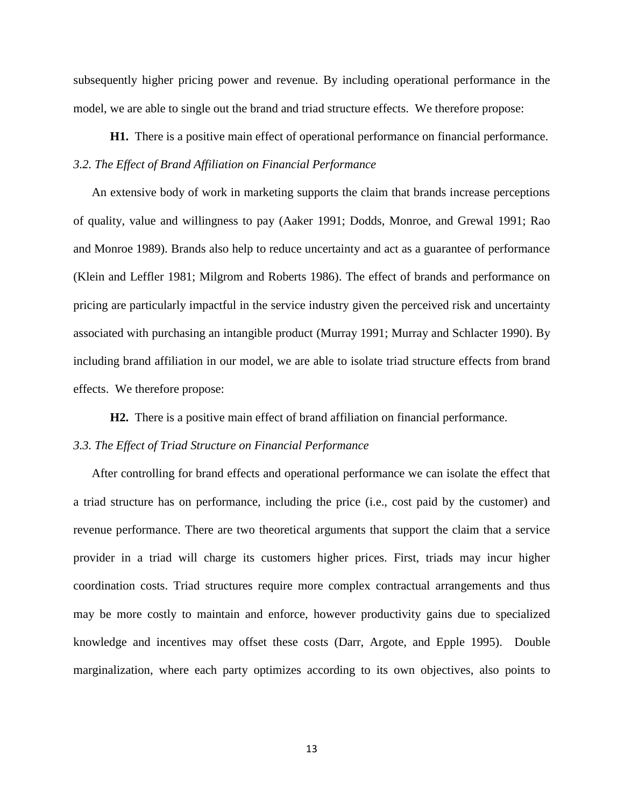subsequently higher pricing power and revenue. By including operational performance in the model, we are able to single out the brand and triad structure effects. We therefore propose:

**H1.** There is a positive main effect of operational performance on financial performance. *3.2. The Effect of Brand Affiliation on Financial Performance*

An extensive body of work in marketing supports the claim that brands increase perceptions of quality, value and willingness to pay (Aaker 1991; Dodds, Monroe, and Grewal 1991; Rao and Monroe 1989). Brands also help to reduce uncertainty and act as a guarantee of performance (Klein and Leffler 1981; Milgrom and Roberts 1986). The effect of brands and performance on pricing are particularly impactful in the service industry given the perceived risk and uncertainty associated with purchasing an intangible product (Murray 1991; Murray and Schlacter 1990). By including brand affiliation in our model, we are able to isolate triad structure effects from brand effects. We therefore propose:

**H2.** There is a positive main effect of brand affiliation on financial performance.

## *3.3. The Effect of Triad Structure on Financial Performance*

After controlling for brand effects and operational performance we can isolate the effect that a triad structure has on performance, including the price (i.e., cost paid by the customer) and revenue performance. There are two theoretical arguments that support the claim that a service provider in a triad will charge its customers higher prices. First, triads may incur higher coordination costs. Triad structures require more complex contractual arrangements and thus may be more costly to maintain and enforce, however productivity gains due to specialized knowledge and incentives may offset these costs (Darr, Argote, and Epple 1995). Double marginalization, where each party optimizes according to its own objectives, also points to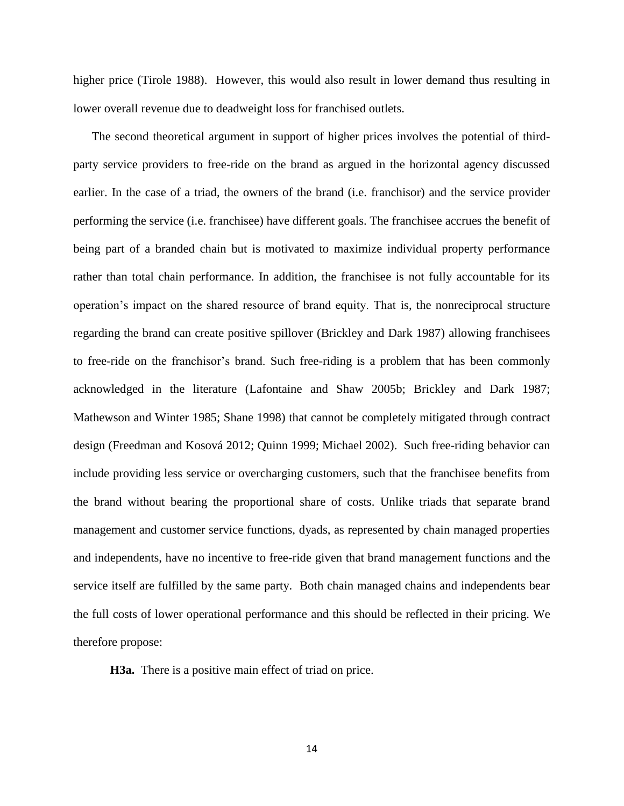higher price (Tirole 1988). However, this would also result in lower demand thus resulting in lower overall revenue due to deadweight loss for franchised outlets.

The second theoretical argument in support of higher prices involves the potential of thirdparty service providers to free-ride on the brand as argued in the horizontal agency discussed earlier. In the case of a triad, the owners of the brand (i.e. franchisor) and the service provider performing the service (i.e. franchisee) have different goals. The franchisee accrues the benefit of being part of a branded chain but is motivated to maximize individual property performance rather than total chain performance. In addition, the franchisee is not fully accountable for its operation's impact on the shared resource of brand equity. That is, the nonreciprocal structure regarding the brand can create positive spillover (Brickley and Dark 1987) allowing franchisees to free-ride on the franchisor's brand. Such free-riding is a problem that has been commonly acknowledged in the literature (Lafontaine and Shaw 2005b; Brickley and Dark 1987; Mathewson and Winter 1985; Shane 1998) that cannot be completely mitigated through contract design (Freedman and Kosová 2012; Quinn 1999; Michael 2002). Such free-riding behavior can include providing less service or overcharging customers, such that the franchisee benefits from the brand without bearing the proportional share of costs. Unlike triads that separate brand management and customer service functions, dyads, as represented by chain managed properties and independents, have no incentive to free-ride given that brand management functions and the service itself are fulfilled by the same party. Both chain managed chains and independents bear the full costs of lower operational performance and this should be reflected in their pricing. We therefore propose:

**H3a.** There is a positive main effect of triad on price.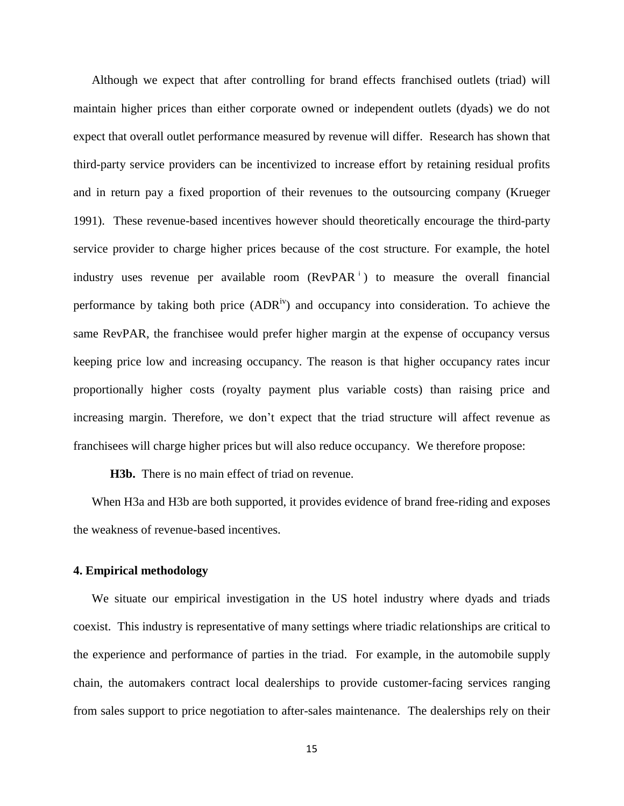Although we expect that after controlling for brand effects franchised outlets (triad) will maintain higher prices than either corporate owned or independent outlets (dyads) we do not expect that overall outlet performance measured by revenue will differ. Research has shown that third-party service providers can be incentivized to increase effort by retaining residual profits and in return pay a fixed proportion of their revenues to the outsourcing company (Krueger 1991). These revenue-based incentives however should theoretically encourage the third-party service provider to charge higher prices because of the cost structure. For example, the hotel industry uses revenue per available room (RevPAR<sup>1</sup>) to measure the overall financial performance by taking both price  $(ADR<sup>iv</sup>)$  and occupancy into consideration. To achieve the same RevPAR, the franchisee would prefer higher margin at the expense of occupancy versus keeping price low and increasing occupancy. The reason is that higher occupancy rates incur proportionally higher costs (royalty payment plus variable costs) than raising price and increasing margin. Therefore, we don't expect that the triad structure will affect revenue as franchisees will charge higher prices but will also reduce occupancy. We therefore propose:

**H3b.** There is no main effect of triad on revenue.

When H3a and H3b are both supported, it provides evidence of brand free-riding and exposes the weakness of revenue-based incentives.

### **4. Empirical methodology**

We situate our empirical investigation in the US hotel industry where dyads and triads coexist. This industry is representative of many settings where triadic relationships are critical to the experience and performance of parties in the triad. For example, in the automobile supply chain, the automakers contract local dealerships to provide customer-facing services ranging from sales support to price negotiation to after-sales maintenance. The dealerships rely on their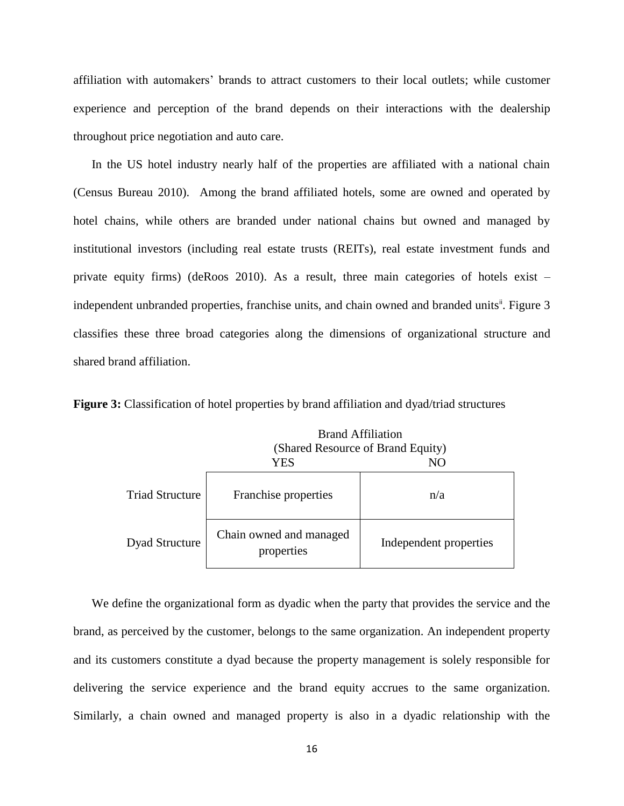affiliation with automakers' brands to attract customers to their local outlets; while customer experience and perception of the brand depends on their interactions with the dealership throughout price negotiation and auto care.

In the US hotel industry nearly half of the properties are affiliated with a national chain (Census Bureau 2010). Among the brand affiliated hotels, some are owned and operated by hotel chains, while others are branded under national chains but owned and managed by institutional investors (including real estate trusts (REITs), real estate investment funds and private equity firms) (deRoos 2010). As a result, three main categories of hotels exist – independent unbranded properties, franchise units, and chain owned and branded units<sup>"</sup>. Figure 3 classifies these three broad categories along the dimensions of organizational structure and shared brand affiliation.

**Figure 3:** Classification of hotel properties by brand affiliation and dyad/triad structures

|                        | <b>Brand Affiliation</b>              |                        |  |  |  |
|------------------------|---------------------------------------|------------------------|--|--|--|
|                        | (Shared Resource of Brand Equity)     |                        |  |  |  |
|                        | YES<br>NO                             |                        |  |  |  |
| <b>Triad Structure</b> | Franchise properties                  | n/a                    |  |  |  |
| <b>Dyad Structure</b>  | Chain owned and managed<br>properties | Independent properties |  |  |  |

We define the organizational form as dyadic when the party that provides the service and the brand, as perceived by the customer, belongs to the same organization. An independent property and its customers constitute a dyad because the property management is solely responsible for delivering the service experience and the brand equity accrues to the same organization. Similarly, a chain owned and managed property is also in a dyadic relationship with the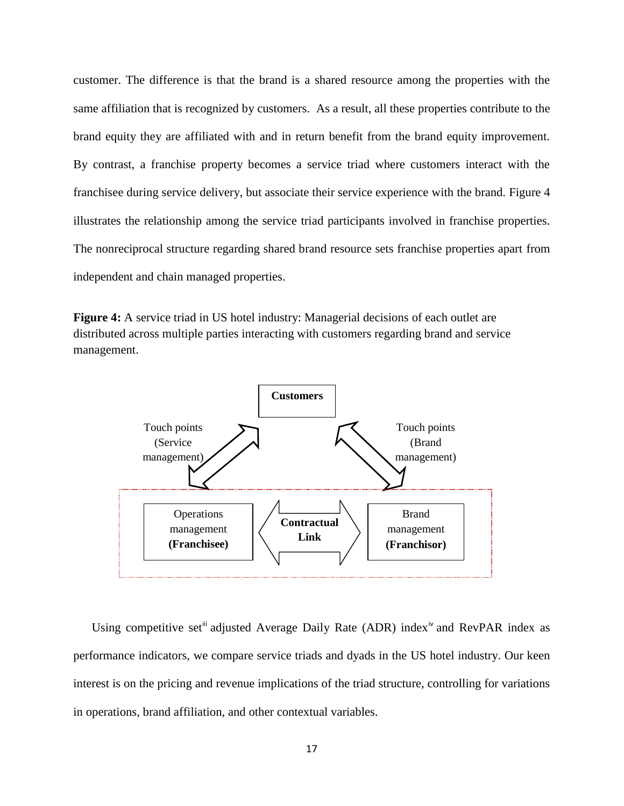customer. The difference is that the brand is a shared resource among the properties with the same affiliation that is recognized by customers. As a result, all these properties contribute to the brand equity they are affiliated with and in return benefit from the brand equity improvement. By contrast, a franchise property becomes a service triad where customers interact with the franchisee during service delivery, but associate their service experience with the brand. Figure 4 illustrates the relationship among the service triad participants involved in franchise properties. The nonreciprocal structure regarding shared brand resource sets franchise properties apart from independent and chain managed properties.

**Figure 4:** A service triad in US hotel industry: Managerial decisions of each outlet are distributed across multiple parties interacting with customers regarding brand and service management.



Using competitive set<sup>ii</sup> adjusted Average Daily Rate (ADR) index<sup>iv</sup> and RevPAR index as performance indicators, we compare service triads and dyads in the US hotel industry. Our keen interest is on the pricing and revenue implications of the triad structure, controlling for variations in operations, brand affiliation, and other contextual variables.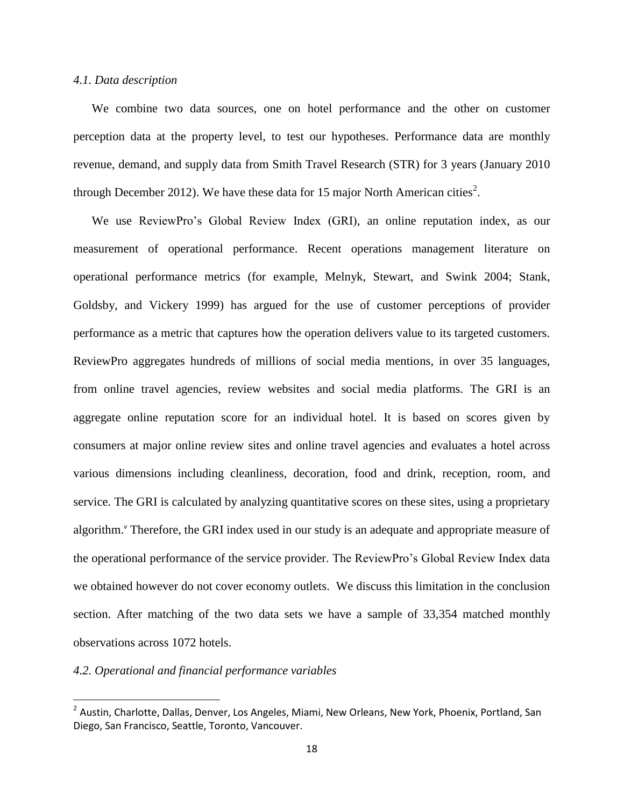### *4.1. Data description*

We combine two data sources, one on hotel performance and the other on customer perception data at the property level, to test our hypotheses. Performance data are monthly revenue, demand, and supply data from Smith Travel Research (STR) for 3 years (January 2010 through December 2012). We have these data for 15 major North American cities<sup>2</sup>.

We use ReviewPro's Global Review Index (GRI), an online reputation index, as our measurement of operational performance. Recent operations management literature on operational performance metrics (for example, Melnyk, Stewart, and Swink 2004; Stank, Goldsby, and Vickery 1999) has argued for the use of customer perceptions of provider performance as a metric that captures how the operation delivers value to its targeted customers. ReviewPro aggregates hundreds of millions of social media mentions, in over 35 languages, from online travel agencies, review websites and social media platforms. The GRI is an aggregate online reputation score for an individual hotel. It is based on scores given by consumers at major online review sites and online travel agencies and evaluates a hotel across various dimensions including cleanliness, decoration, food and drink, reception, room, and service. The GRI is calculated by analyzing quantitative scores on these sites, using a proprietary algorithm.*<sup>v</sup>* Therefore, the GRI index used in our study is an adequate and appropriate measure of the operational performance of the service provider. The ReviewPro's Global Review Index data we obtained however do not cover economy outlets. We discuss this limitation in the conclusion section. After matching of the two data sets we have a sample of 33,354 matched monthly observations across 1072 hotels.

# *4.2. Operational and financial performance variables*

 $\overline{\phantom{a}}$ 

<sup>&</sup>lt;sup>2</sup> Austin, Charlotte, Dallas, Denver, Los Angeles, Miami, New Orleans, New York, Phoenix, Portland, San Diego, San Francisco, Seattle, Toronto, Vancouver.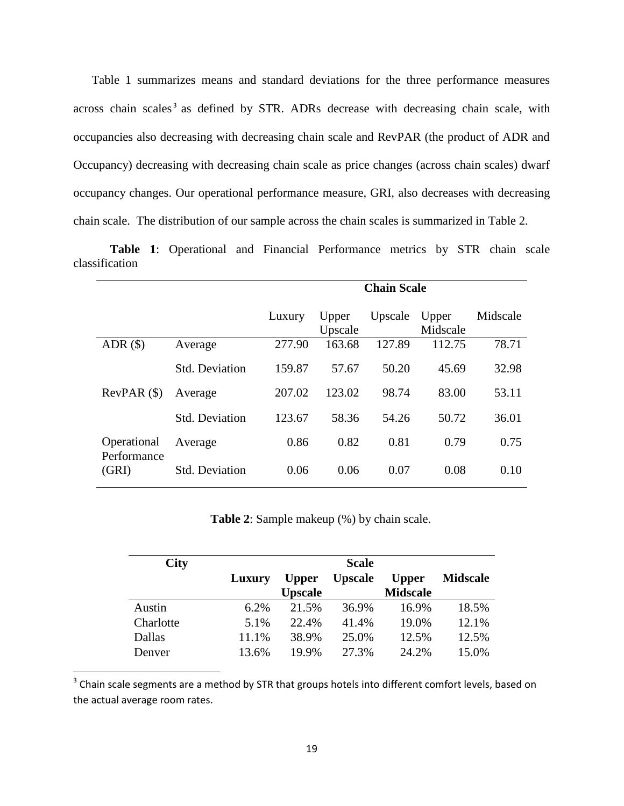Table 1 summarizes means and standard deviations for the three performance measures across chain scales<sup>3</sup> as defined by STR. ADRs decrease with decreasing chain scale, with occupancies also decreasing with decreasing chain scale and RevPAR (the product of ADR and Occupancy) decreasing with decreasing chain scale as price changes (across chain scales) dwarf occupancy changes. Our operational performance measure, GRI, also decreases with decreasing chain scale. The distribution of our sample across the chain scales is summarized in Table 2.

**Table 1**: Operational and Financial Performance metrics by STR chain scale classification

|                            |                       | <b>Chain Scale</b> |                  |         |                   |          |
|----------------------------|-----------------------|--------------------|------------------|---------|-------------------|----------|
|                            |                       | Luxury             | Upper<br>Upscale | Upscale | Upper<br>Midscale | Midscale |
| ADR(S)                     | Average               | 277.90             | 163.68           | 127.89  | 112.75            | 78.71    |
|                            | <b>Std. Deviation</b> | 159.87             | 57.67            | 50.20   | 45.69             | 32.98    |
| RevPAR(S)                  | Average               | 207.02             | 123.02           | 98.74   | 83.00             | 53.11    |
|                            | <b>Std. Deviation</b> | 123.67             | 58.36            | 54.26   | 50.72             | 36.01    |
| Operational<br>Performance | Average               | 0.86               | 0.82             | 0.81    | 0.79              | 0.75     |
| (GRI)                      | <b>Std. Deviation</b> | 0.06               | 0.06             | 0.07    | 0.08              | 0.10     |

**Table 2**: Sample makeup (%) by chain scale.

| <b>City</b> |        |                | <b>Scale</b>   |                 |                 |
|-------------|--------|----------------|----------------|-----------------|-----------------|
|             | Luxury | <b>Upper</b>   | <b>Upscale</b> | <b>Upper</b>    | <b>Midscale</b> |
|             |        | <b>Upscale</b> |                | <b>Midscale</b> |                 |
| Austin      | 6.2%   | 21.5%          | 36.9%          | 16.9%           | 18.5%           |
| Charlotte   | 5.1%   | 22.4%          | 41.4%          | 19.0%           | 12.1%           |
| Dallas      | 11.1%  | 38.9%          | 25.0%          | 12.5%           | 12.5%           |
| Denver      | 13.6%  | 19.9%          | 27.3%          | 24.2%           | 15.0%           |

 $3$  Chain scale segments are a method by STR that groups hotels into different comfort levels, based on the actual average room rates.

 $\overline{\phantom{a}}$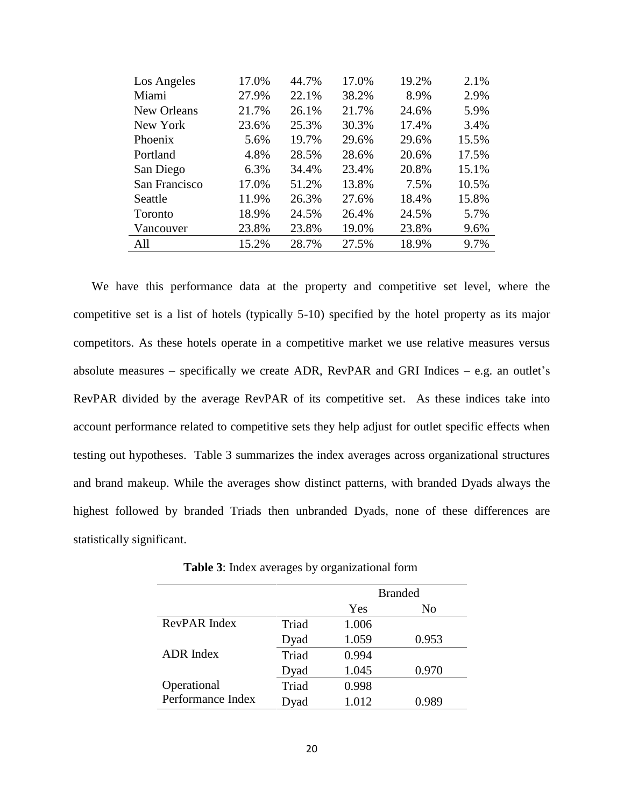| Los Angeles   | 17.0% | 44.7% | 17.0% | 19.2% | 2.1%  |
|---------------|-------|-------|-------|-------|-------|
| Miami         | 27.9% | 22.1% | 38.2% | 8.9%  | 2.9%  |
| New Orleans   | 21.7% | 26.1% | 21.7% | 24.6% | 5.9%  |
| New York      | 23.6% | 25.3% | 30.3% | 17.4% | 3.4%  |
| Phoenix       | 5.6%  | 19.7% | 29.6% | 29.6% | 15.5% |
| Portland      | 4.8%  | 28.5% | 28.6% | 20.6% | 17.5% |
| San Diego     | 6.3%  | 34.4% | 23.4% | 20.8% | 15.1% |
| San Francisco | 17.0% | 51.2% | 13.8% | 7.5%  | 10.5% |
| Seattle       | 11.9% | 26.3% | 27.6% | 18.4% | 15.8% |
| Toronto       | 18.9% | 24.5% | 26.4% | 24.5% | 5.7%  |
| Vancouver     | 23.8% | 23.8% | 19.0% | 23.8% | 9.6%  |
| All           | 15.2% | 28.7% | 27.5% | 18.9% | 9.7%  |

We have this performance data at the property and competitive set level, where the competitive set is a list of hotels (typically 5-10) specified by the hotel property as its major competitors. As these hotels operate in a competitive market we use relative measures versus absolute measures – specifically we create ADR, RevPAR and GRI Indices – e.g. an outlet's RevPAR divided by the average RevPAR of its competitive set. As these indices take into account performance related to competitive sets they help adjust for outlet specific effects when testing out hypotheses. Table 3 summarizes the index averages across organizational structures and brand makeup. While the averages show distinct patterns, with branded Dyads always the highest followed by branded Triads then unbranded Dyads, none of these differences are statistically significant.

|                   |       |       | <b>Branded</b> |  |
|-------------------|-------|-------|----------------|--|
|                   |       | Yes   | No             |  |
| RevPAR Index      | Triad | 1.006 |                |  |
|                   | Dyad  | 1.059 | 0.953          |  |
| <b>ADR</b> Index  | Triad | 0.994 |                |  |
|                   | Dyad  | 1.045 | 0.970          |  |
| Operational       | Triad | 0.998 |                |  |
| Performance Index | Dyad  | 1.012 | 0.989          |  |

**Table 3**: Index averages by organizational form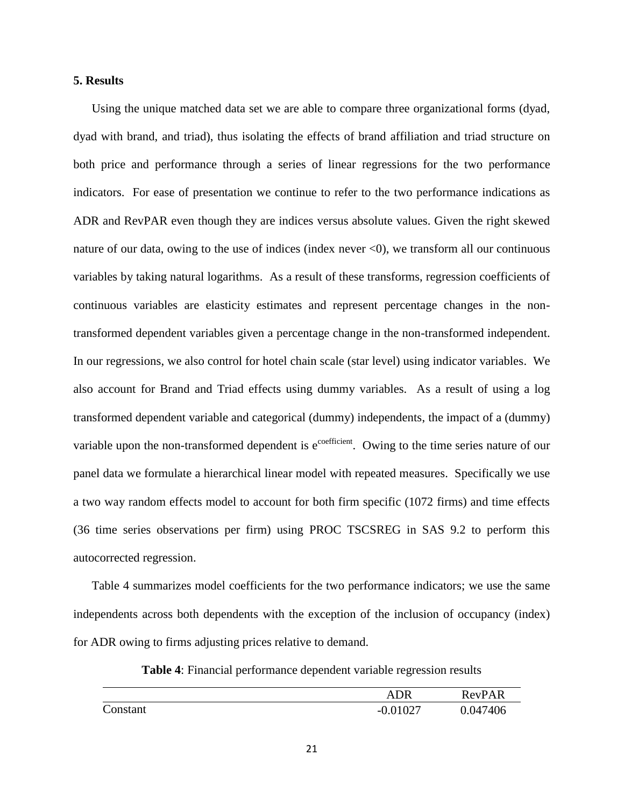## **5. Results**

Using the unique matched data set we are able to compare three organizational forms (dyad, dyad with brand, and triad), thus isolating the effects of brand affiliation and triad structure on both price and performance through a series of linear regressions for the two performance indicators. For ease of presentation we continue to refer to the two performance indications as ADR and RevPAR even though they are indices versus absolute values. Given the right skewed nature of our data, owing to the use of indices (index never  $\langle 0 \rangle$ , we transform all our continuous variables by taking natural logarithms. As a result of these transforms, regression coefficients of continuous variables are elasticity estimates and represent percentage changes in the nontransformed dependent variables given a percentage change in the non-transformed independent. In our regressions, we also control for hotel chain scale (star level) using indicator variables. We also account for Brand and Triad effects using dummy variables. As a result of using a log transformed dependent variable and categorical (dummy) independents, the impact of a (dummy) variable upon the non-transformed dependent is  $e^{coefficient}$ . Owing to the time series nature of our panel data we formulate a hierarchical linear model with repeated measures. Specifically we use a two way random effects model to account for both firm specific (1072 firms) and time effects (36 time series observations per firm) using PROC TSCSREG in SAS 9.2 to perform this autocorrected regression.

Table 4 summarizes model coefficients for the two performance indicators; we use the same independents across both dependents with the exception of the inclusion of occupancy (index) for ADR owing to firms adjusting prices relative to demand.

**Table 4**: Financial performance dependent variable regression results

|          | <b>ADR</b> | <b>RevPAR</b> |
|----------|------------|---------------|
| Constant | $-0.01027$ | 0.047406      |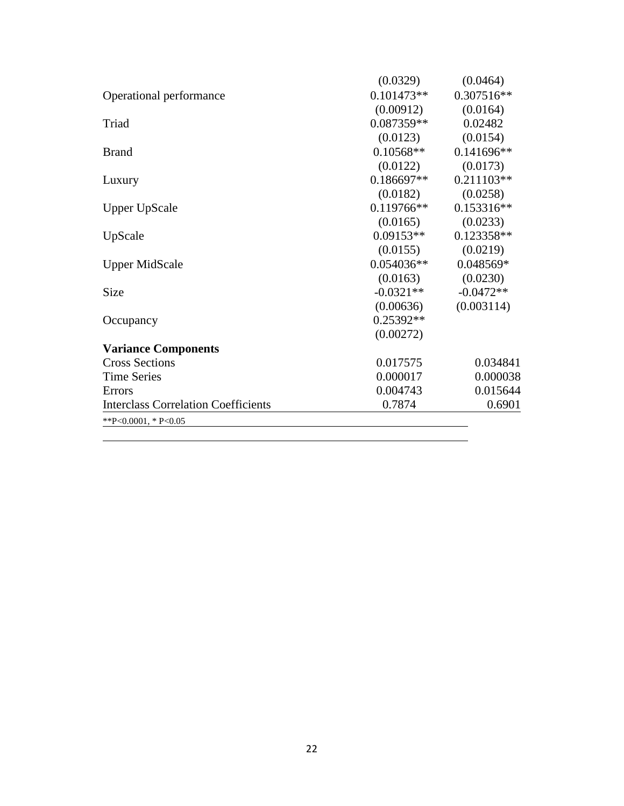|                                            | (0.0329)     | (0.0464)     |
|--------------------------------------------|--------------|--------------|
| Operational performance                    | $0.101473**$ | 0.307516**   |
|                                            | (0.00912)    | (0.0164)     |
| Triad                                      | $0.087359**$ | 0.02482      |
|                                            | (0.0123)     | (0.0154)     |
| <b>Brand</b>                               | $0.10568**$  | $0.141696**$ |
|                                            | (0.0122)     | (0.0173)     |
| Luxury                                     | $0.186697**$ | $0.211103**$ |
|                                            | (0.0182)     | (0.0258)     |
| <b>Upper UpScale</b>                       | $0.119766**$ | 0.153316**   |
|                                            | (0.0165)     | (0.0233)     |
| UpScale                                    | $0.09153**$  | 0.123358**   |
|                                            | (0.0155)     | (0.0219)     |
| <b>Upper MidScale</b>                      | $0.054036**$ | 0.048569*    |
|                                            | (0.0163)     | (0.0230)     |
| Size                                       | $-0.0321**$  | $-0.0472**$  |
|                                            | (0.00636)    | (0.003114)   |
| Occupancy                                  | 0.25392**    |              |
|                                            | (0.00272)    |              |
| <b>Variance Components</b>                 |              |              |
| <b>Cross Sections</b>                      | 0.017575     | 0.034841     |
| <b>Time Series</b>                         | 0.000017     | 0.000038     |
| Errors                                     | 0.004743     | 0.015644     |
| <b>Interclass Correlation Coefficients</b> | 0.7874       | 0.6901       |
| **P<0.0001, * P<0.05                       |              |              |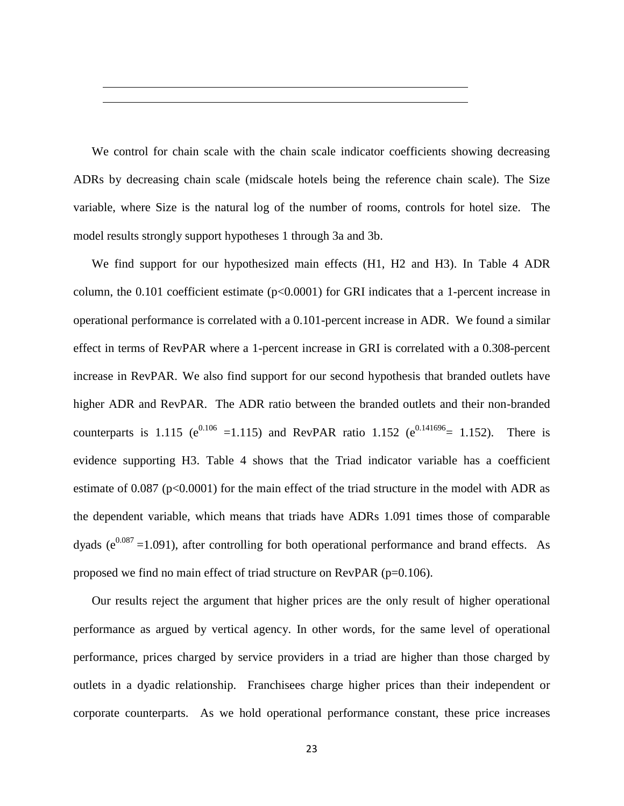We control for chain scale with the chain scale indicator coefficients showing decreasing ADRs by decreasing chain scale (midscale hotels being the reference chain scale). The Size variable, where Size is the natural log of the number of rooms, controls for hotel size. The model results strongly support hypotheses 1 through 3a and 3b.

We find support for our hypothesized main effects (H1, H2 and H3). In Table 4 ADR column, the  $0.101$  coefficient estimate ( $p<0.0001$ ) for GRI indicates that a 1-percent increase in operational performance is correlated with a 0.101-percent increase in ADR. We found a similar effect in terms of RevPAR where a 1-percent increase in GRI is correlated with a 0.308-percent increase in RevPAR. We also find support for our second hypothesis that branded outlets have higher ADR and RevPAR. The ADR ratio between the branded outlets and their non-branded counterparts is 1.115 ( $e^{0.106}$  =1.115) and RevPAR ratio 1.152 ( $e^{0.141696}$  = 1.152). There is evidence supporting H3. Table 4 shows that the Triad indicator variable has a coefficient estimate of 0.087 (p<0.0001) for the main effect of the triad structure in the model with ADR as the dependent variable, which means that triads have ADRs 1.091 times those of comparable dyads ( $e^{0.087}$  =1.091), after controlling for both operational performance and brand effects. As proposed we find no main effect of triad structure on RevPAR (p=0.106).

Our results reject the argument that higher prices are the only result of higher operational performance as argued by vertical agency. In other words, for the same level of operational performance, prices charged by service providers in a triad are higher than those charged by outlets in a dyadic relationship. Franchisees charge higher prices than their independent or corporate counterparts. As we hold operational performance constant, these price increases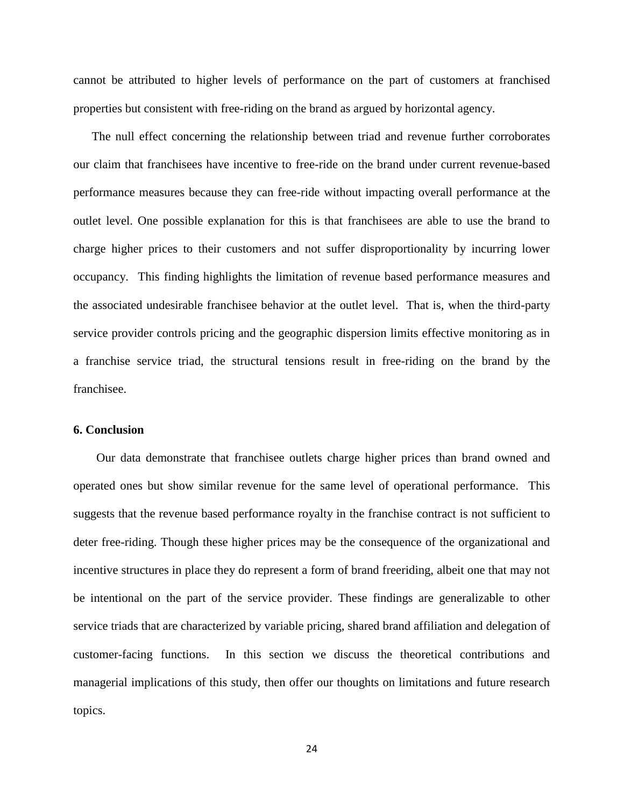cannot be attributed to higher levels of performance on the part of customers at franchised properties but consistent with free-riding on the brand as argued by horizontal agency.

The null effect concerning the relationship between triad and revenue further corroborates our claim that franchisees have incentive to free-ride on the brand under current revenue-based performance measures because they can free-ride without impacting overall performance at the outlet level. One possible explanation for this is that franchisees are able to use the brand to charge higher prices to their customers and not suffer disproportionality by incurring lower occupancy. This finding highlights the limitation of revenue based performance measures and the associated undesirable franchisee behavior at the outlet level. That is, when the third-party service provider controls pricing and the geographic dispersion limits effective monitoring as in a franchise service triad, the structural tensions result in free-riding on the brand by the franchisee.

#### **6. Conclusion**

Our data demonstrate that franchisee outlets charge higher prices than brand owned and operated ones but show similar revenue for the same level of operational performance. This suggests that the revenue based performance royalty in the franchise contract is not sufficient to deter free-riding. Though these higher prices may be the consequence of the organizational and incentive structures in place they do represent a form of brand freeriding, albeit one that may not be intentional on the part of the service provider. These findings are generalizable to other service triads that are characterized by variable pricing, shared brand affiliation and delegation of customer-facing functions. In this section we discuss the theoretical contributions and managerial implications of this study, then offer our thoughts on limitations and future research topics.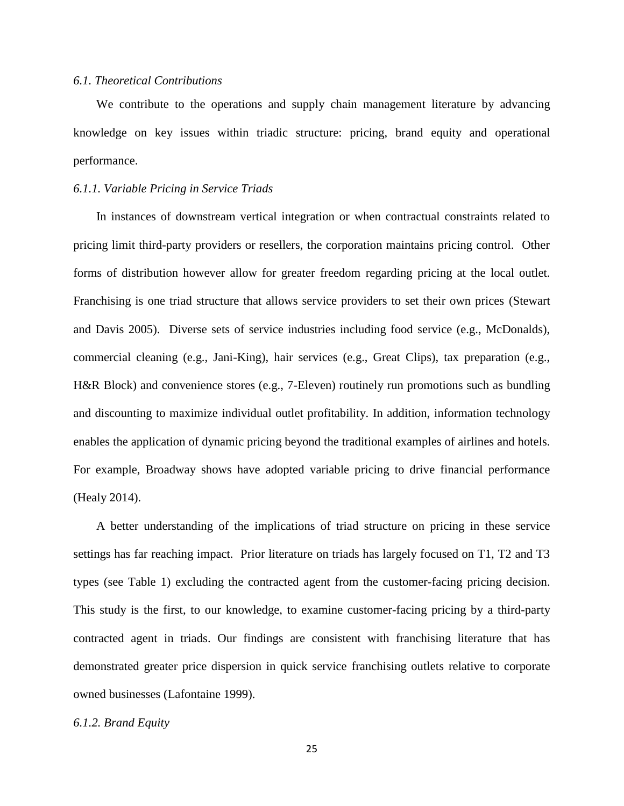## *6.1. Theoretical Contributions*

We contribute to the operations and supply chain management literature by advancing knowledge on key issues within triadic structure: pricing, brand equity and operational performance.

### *6.1.1. Variable Pricing in Service Triads*

In instances of downstream vertical integration or when contractual constraints related to pricing limit third-party providers or resellers, the corporation maintains pricing control. Other forms of distribution however allow for greater freedom regarding pricing at the local outlet. Franchising is one triad structure that allows service providers to set their own prices (Stewart and Davis 2005). Diverse sets of service industries including food service (e.g., McDonalds), commercial cleaning (e.g., Jani-King), hair services (e.g., Great Clips), tax preparation (e.g., H&R Block) and convenience stores (e.g., 7-Eleven) routinely run promotions such as bundling and discounting to maximize individual outlet profitability. In addition, information technology enables the application of dynamic pricing beyond the traditional examples of airlines and hotels. For example, Broadway shows have adopted variable pricing to drive financial performance (Healy 2014).

A better understanding of the implications of triad structure on pricing in these service settings has far reaching impact. Prior literature on triads has largely focused on T1, T2 and T3 types (see Table 1) excluding the contracted agent from the customer-facing pricing decision. This study is the first, to our knowledge, to examine customer-facing pricing by a third-party contracted agent in triads. Our findings are consistent with franchising literature that has demonstrated greater price dispersion in quick service franchising outlets relative to corporate owned businesses (Lafontaine 1999).

### *6.1.2. Brand Equity*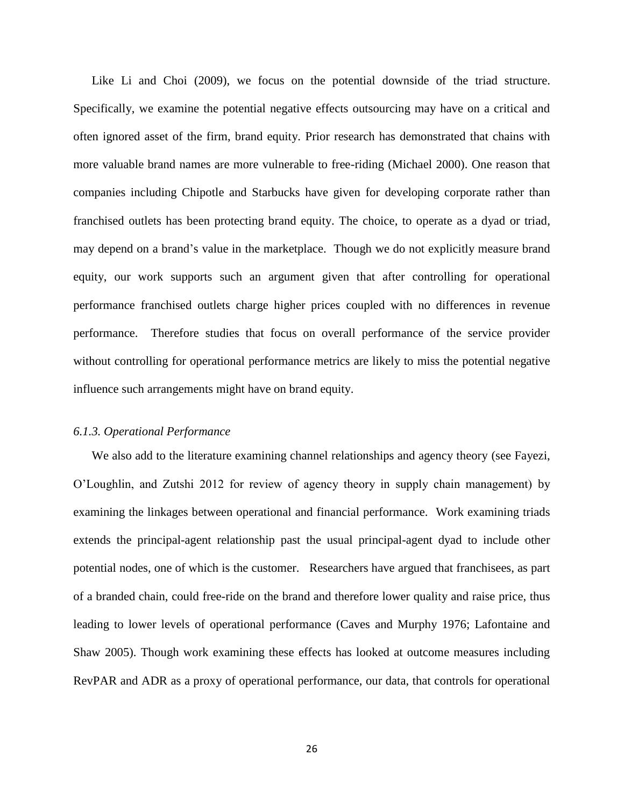Like Li and Choi (2009), we focus on the potential downside of the triad structure. Specifically, we examine the potential negative effects outsourcing may have on a critical and often ignored asset of the firm, brand equity. Prior research has demonstrated that chains with more valuable brand names are more vulnerable to free-riding (Michael 2000). One reason that companies including Chipotle and Starbucks have given for developing corporate rather than franchised outlets has been protecting brand equity. The choice, to operate as a dyad or triad, may depend on a brand's value in the marketplace. Though we do not explicitly measure brand equity, our work supports such an argument given that after controlling for operational performance franchised outlets charge higher prices coupled with no differences in revenue performance. Therefore studies that focus on overall performance of the service provider without controlling for operational performance metrics are likely to miss the potential negative influence such arrangements might have on brand equity.

# *6.1.3. Operational Performance*

We also add to the literature examining channel relationships and agency theory (see Fayezi, O'Loughlin, and Zutshi 2012 for review of agency theory in supply chain management) by examining the linkages between operational and financial performance. Work examining triads extends the principal-agent relationship past the usual principal-agent dyad to include other potential nodes, one of which is the customer. Researchers have argued that franchisees, as part of a branded chain, could free-ride on the brand and therefore lower quality and raise price, thus leading to lower levels of operational performance (Caves and Murphy 1976; Lafontaine and Shaw 2005). Though work examining these effects has looked at outcome measures including RevPAR and ADR as a proxy of operational performance, our data, that controls for operational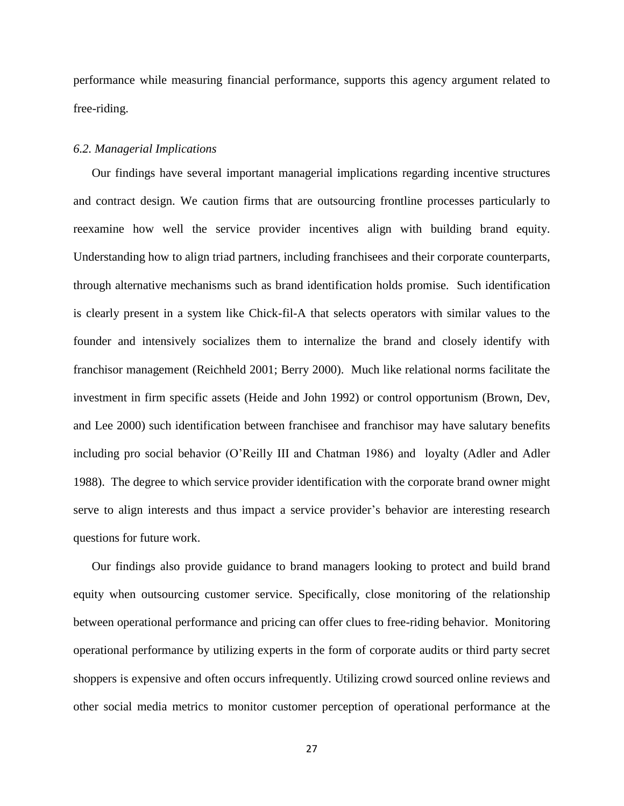performance while measuring financial performance, supports this agency argument related to free-riding.

## *6.2. Managerial Implications*

Our findings have several important managerial implications regarding incentive structures and contract design. We caution firms that are outsourcing frontline processes particularly to reexamine how well the service provider incentives align with building brand equity. Understanding how to align triad partners, including franchisees and their corporate counterparts, through alternative mechanisms such as brand identification holds promise. Such identification is clearly present in a system like Chick-fil-A that selects operators with similar values to the founder and intensively socializes them to internalize the brand and closely identify with franchisor management (Reichheld 2001; Berry 2000). Much like relational norms facilitate the investment in firm specific assets (Heide and John 1992) or control opportunism (Brown, Dev, and Lee 2000) such identification between franchisee and franchisor may have salutary benefits including pro social behavior (O'Reilly III and Chatman 1986) and loyalty (Adler and Adler 1988). The degree to which service provider identification with the corporate brand owner might serve to align interests and thus impact a service provider's behavior are interesting research questions for future work.

Our findings also provide guidance to brand managers looking to protect and build brand equity when outsourcing customer service. Specifically, close monitoring of the relationship between operational performance and pricing can offer clues to free-riding behavior. Monitoring operational performance by utilizing experts in the form of corporate audits or third party secret shoppers is expensive and often occurs infrequently. Utilizing crowd sourced online reviews and other social media metrics to monitor customer perception of operational performance at the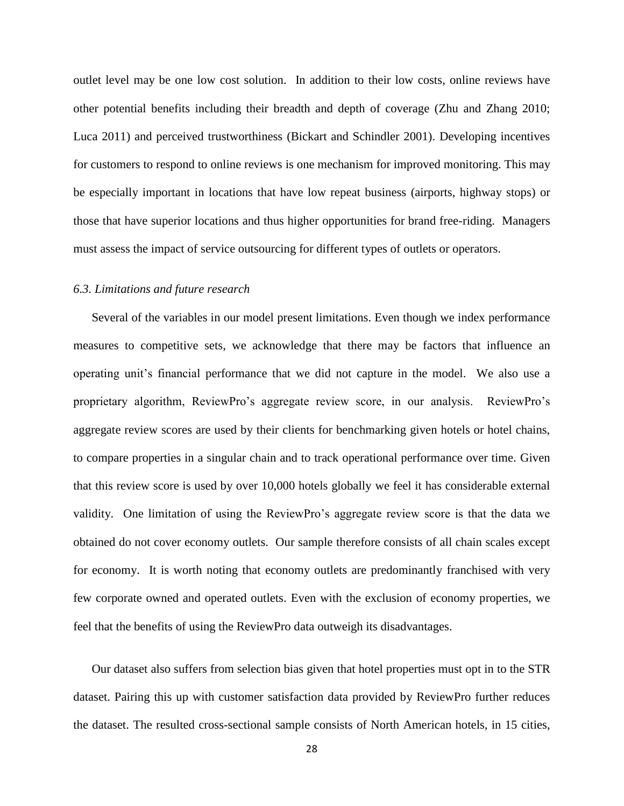outlet level may be one low cost solution. In addition to their low costs, online reviews have other potential benefits including their breadth and depth of coverage (Zhu and Zhang 2010; Luca 2011) and perceived trustworthiness (Bickart and Schindler 2001). Developing incentives for customers to respond to online reviews is one mechanism for improved monitoring. This may be especially important in locations that have low repeat business (airports, highway stops) or those that have superior locations and thus higher opportunities for brand free-riding. Managers must assess the impact of service outsourcing for different types of outlets or operators.

#### *6.3. Limitations and future research*

Several of the variables in our model present limitations. Even though we index performance measures to competitive sets, we acknowledge that there may be factors that influence an operating unit's financial performance that we did not capture in the model. We also use a proprietary algorithm, ReviewPro's aggregate review score, in our analysis. ReviewPro's aggregate review scores are used by their clients for benchmarking given hotels or hotel chains, to compare properties in a singular chain and to track operational performance over time. Given that this review score is used by over 10,000 hotels globally we feel it has considerable external validity. One limitation of using the ReviewPro's aggregate review score is that the data we obtained do not cover economy outlets. Our sample therefore consists of all chain scales except for economy. It is worth noting that economy outlets are predominantly franchised with very few corporate owned and operated outlets. Even with the exclusion of economy properties, we feel that the benefits of using the ReviewPro data outweigh its disadvantages.

Our dataset also suffers from selection bias given that hotel properties must opt in to the STR dataset. Pairing this up with customer satisfaction data provided by ReviewPro further reduces the dataset. The resulted cross-sectional sample consists of North American hotels, in 15 cities,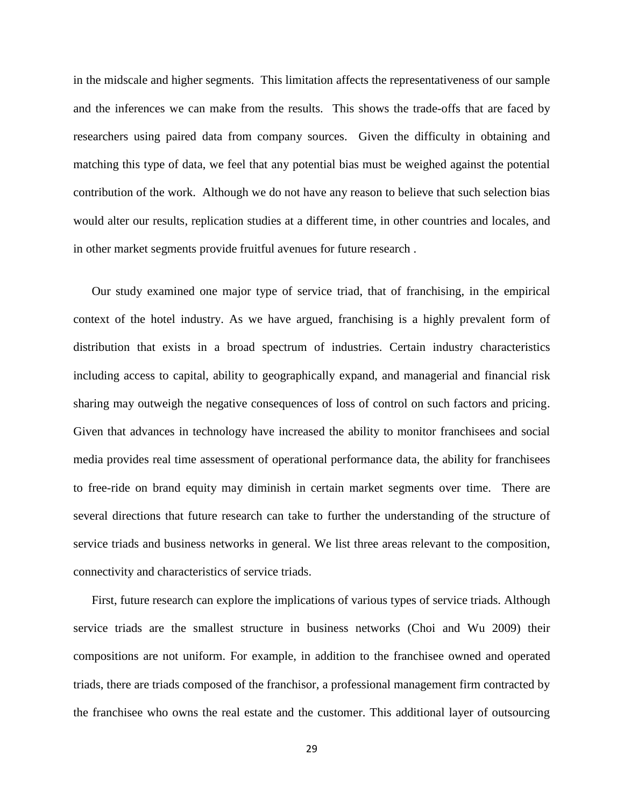in the midscale and higher segments. This limitation affects the representativeness of our sample and the inferences we can make from the results. This shows the trade-offs that are faced by researchers using paired data from company sources. Given the difficulty in obtaining and matching this type of data, we feel that any potential bias must be weighed against the potential contribution of the work. Although we do not have any reason to believe that such selection bias would alter our results, replication studies at a different time, in other countries and locales, and in other market segments provide fruitful avenues for future research .

Our study examined one major type of service triad, that of franchising, in the empirical context of the hotel industry. As we have argued, franchising is a highly prevalent form of distribution that exists in a broad spectrum of industries. Certain industry characteristics including access to capital, ability to geographically expand, and managerial and financial risk sharing may outweigh the negative consequences of loss of control on such factors and pricing. Given that advances in technology have increased the ability to monitor franchisees and social media provides real time assessment of operational performance data, the ability for franchisees to free-ride on brand equity may diminish in certain market segments over time. There are several directions that future research can take to further the understanding of the structure of service triads and business networks in general. We list three areas relevant to the composition, connectivity and characteristics of service triads.

First, future research can explore the implications of various types of service triads. Although service triads are the smallest structure in business networks (Choi and Wu 2009) their compositions are not uniform. For example, in addition to the franchisee owned and operated triads, there are triads composed of the franchisor, a professional management firm contracted by the franchisee who owns the real estate and the customer. This additional layer of outsourcing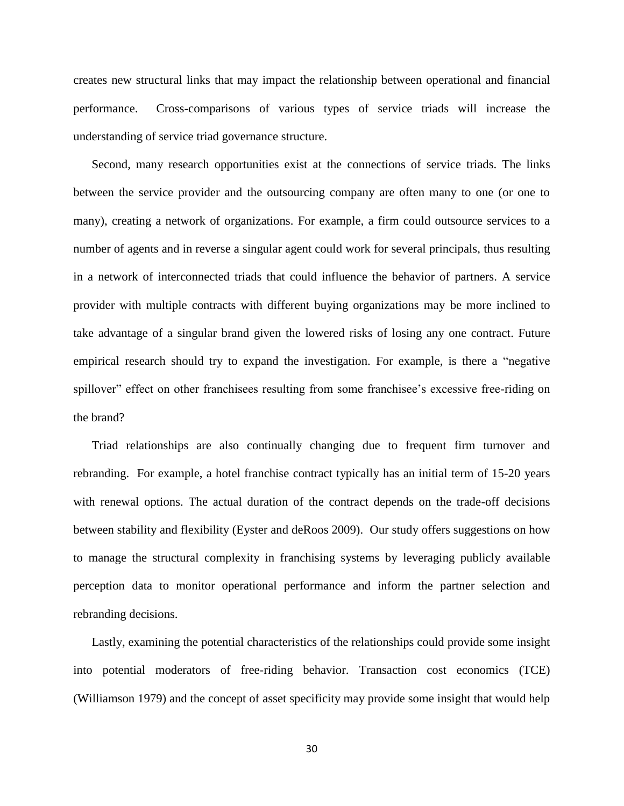creates new structural links that may impact the relationship between operational and financial performance. Cross-comparisons of various types of service triads will increase the understanding of service triad governance structure.

Second, many research opportunities exist at the connections of service triads. The links between the service provider and the outsourcing company are often many to one (or one to many), creating a network of organizations. For example, a firm could outsource services to a number of agents and in reverse a singular agent could work for several principals, thus resulting in a network of interconnected triads that could influence the behavior of partners. A service provider with multiple contracts with different buying organizations may be more inclined to take advantage of a singular brand given the lowered risks of losing any one contract. Future empirical research should try to expand the investigation. For example, is there a "negative spillover" effect on other franchisees resulting from some franchisee's excessive free-riding on the brand?

Triad relationships are also continually changing due to frequent firm turnover and rebranding. For example, a hotel franchise contract typically has an initial term of 15-20 years with renewal options. The actual duration of the contract depends on the trade-off decisions between stability and flexibility (Eyster and deRoos 2009). Our study offers suggestions on how to manage the structural complexity in franchising systems by leveraging publicly available perception data to monitor operational performance and inform the partner selection and rebranding decisions.

Lastly, examining the potential characteristics of the relationships could provide some insight into potential moderators of free-riding behavior. Transaction cost economics (TCE) (Williamson 1979) and the concept of asset specificity may provide some insight that would help

30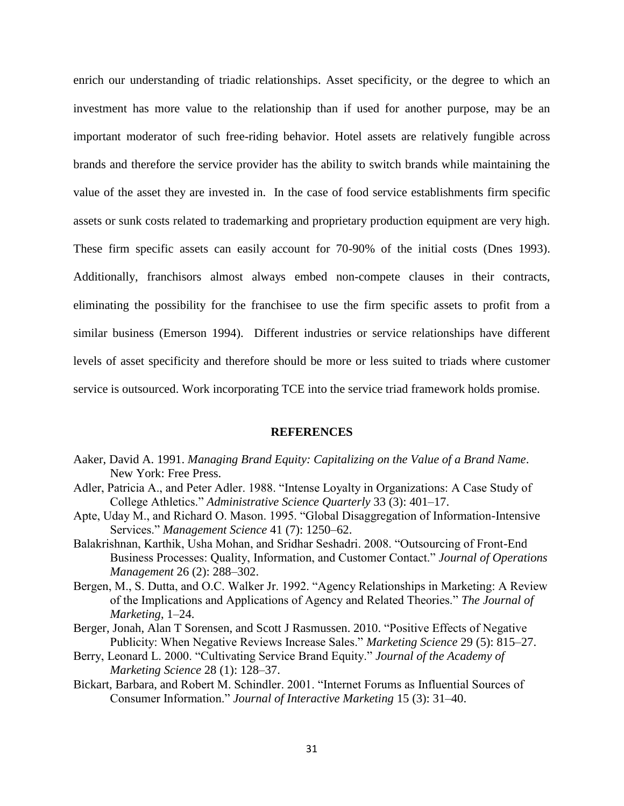enrich our understanding of triadic relationships. Asset specificity, or the degree to which an investment has more value to the relationship than if used for another purpose, may be an important moderator of such free-riding behavior. Hotel assets are relatively fungible across brands and therefore the service provider has the ability to switch brands while maintaining the value of the asset they are invested in. In the case of food service establishments firm specific assets or sunk costs related to trademarking and proprietary production equipment are very high. These firm specific assets can easily account for 70-90% of the initial costs (Dnes 1993). Additionally, franchisors almost always embed non-compete clauses in their contracts, eliminating the possibility for the franchisee to use the firm specific assets to profit from a similar business (Emerson 1994). Different industries or service relationships have different levels of asset specificity and therefore should be more or less suited to triads where customer service is outsourced. Work incorporating TCE into the service triad framework holds promise.

### **REFERENCES**

- Aaker, David A. 1991. *Managing Brand Equity: Capitalizing on the Value of a Brand Name*. New York: Free Press.
- Adler, Patricia A., and Peter Adler. 1988. "Intense Loyalty in Organizations: A Case Study of College Athletics." *Administrative Science Quarterly* 33 (3): 401–17.
- Apte, Uday M., and Richard O. Mason. 1995. "Global Disaggregation of Information-Intensive Services." *Management Science* 41 (7): 1250–62.
- Balakrishnan, Karthik, Usha Mohan, and Sridhar Seshadri. 2008. "Outsourcing of Front-End Business Processes: Quality, Information, and Customer Contact." *Journal of Operations Management* 26 (2): 288–302.
- Bergen, M., S. Dutta, and O.C. Walker Jr. 1992. "Agency Relationships in Marketing: A Review of the Implications and Applications of Agency and Related Theories." *The Journal of Marketing*, 1–24.
- Berger, Jonah, Alan T Sorensen, and Scott J Rasmussen. 2010. "Positive Effects of Negative Publicity: When Negative Reviews Increase Sales." *Marketing Science* 29 (5): 815–27.
- Berry, Leonard L. 2000. "Cultivating Service Brand Equity." *Journal of the Academy of Marketing Science* 28 (1): 128–37.
- Bickart, Barbara, and Robert M. Schindler. 2001. "Internet Forums as Influential Sources of Consumer Information." *Journal of Interactive Marketing* 15 (3): 31–40.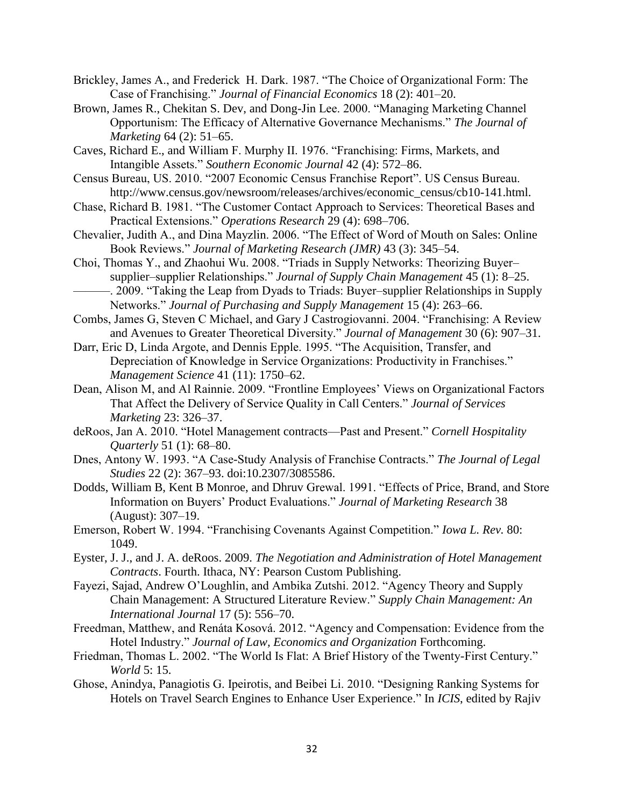- Brickley, James A., and Frederick H. Dark. 1987. "The Choice of Organizational Form: The Case of Franchising." *Journal of Financial Economics* 18 (2): 401–20.
- Brown, James R., Chekitan S. Dev, and Dong-Jin Lee. 2000. "Managing Marketing Channel Opportunism: The Efficacy of Alternative Governance Mechanisms." *The Journal of Marketing* 64 (2): 51–65.
- Caves, Richard E., and William F. Murphy II. 1976. "Franchising: Firms, Markets, and Intangible Assets." *Southern Economic Journal* 42 (4): 572–86.
- Census Bureau, US. 2010. "2007 Economic Census Franchise Report". US Census Bureau. http://www.census.gov/newsroom/releases/archives/economic\_census/cb10-141.html.
- Chase, Richard B. 1981. "The Customer Contact Approach to Services: Theoretical Bases and Practical Extensions." *Operations Research* 29 (4): 698–706.
- Chevalier, Judith A., and Dina Mayzlin. 2006. "The Effect of Word of Mouth on Sales: Online Book Reviews." *Journal of Marketing Research (JMR)* 43 (3): 345–54.
- Choi, Thomas Y., and Zhaohui Wu. 2008. "Triads in Supply Networks: Theorizing Buyer– supplier–supplier Relationships." *Journal of Supply Chain Management* 45 (1): 8–25.
- -. 2009. "Taking the Leap from Dyads to Triads: Buyer–supplier Relationships in Supply Networks." *Journal of Purchasing and Supply Management* 15 (4): 263–66.

Combs, James G, Steven C Michael, and Gary J Castrogiovanni. 2004. "Franchising: A Review and Avenues to Greater Theoretical Diversity." *Journal of Management* 30 (6): 907–31.

Darr, Eric D, Linda Argote, and Dennis Epple. 1995. "The Acquisition, Transfer, and Depreciation of Knowledge in Service Organizations: Productivity in Franchises." *Management Science* 41 (11): 1750–62.

- Dean, Alison M, and Al Rainnie. 2009. "Frontline Employees' Views on Organizational Factors That Affect the Delivery of Service Quality in Call Centers." *Journal of Services Marketing* 23: 326–37.
- deRoos, Jan A. 2010. "Hotel Management contracts—Past and Present." *Cornell Hospitality Quarterly* 51 (1): 68–80.
- Dnes, Antony W. 1993. "A Case-Study Analysis of Franchise Contracts." *The Journal of Legal Studies* 22 (2): 367–93. doi:10.2307/3085586.
- Dodds, William B, Kent B Monroe, and Dhruv Grewal. 1991. "Effects of Price, Brand, and Store Information on Buyers' Product Evaluations." *Journal of Marketing Research* 38 (August): 307–19.
- Emerson, Robert W. 1994. "Franchising Covenants Against Competition." *Iowa L. Rev.* 80: 1049.
- Eyster, J. J., and J. A. deRoos. 2009. *The Negotiation and Administration of Hotel Management Contracts*. Fourth. Ithaca, NY: Pearson Custom Publishing.
- Fayezi, Sajad, Andrew O'Loughlin, and Ambika Zutshi. 2012. "Agency Theory and Supply Chain Management: A Structured Literature Review." *Supply Chain Management: An International Journal* 17 (5): 556–70.
- Freedman, Matthew, and Renáta Kosová. 2012. "Agency and Compensation: Evidence from the Hotel Industry." *Journal of Law, Economics and Organization* Forthcoming.
- Friedman, Thomas L. 2002. "The World Is Flat: A Brief History of the Twenty-First Century." *World* 5: 15.
- Ghose, Anindya, Panagiotis G. Ipeirotis, and Beibei Li. 2010. "Designing Ranking Systems for Hotels on Travel Search Engines to Enhance User Experience." In *ICIS*, edited by Rajiv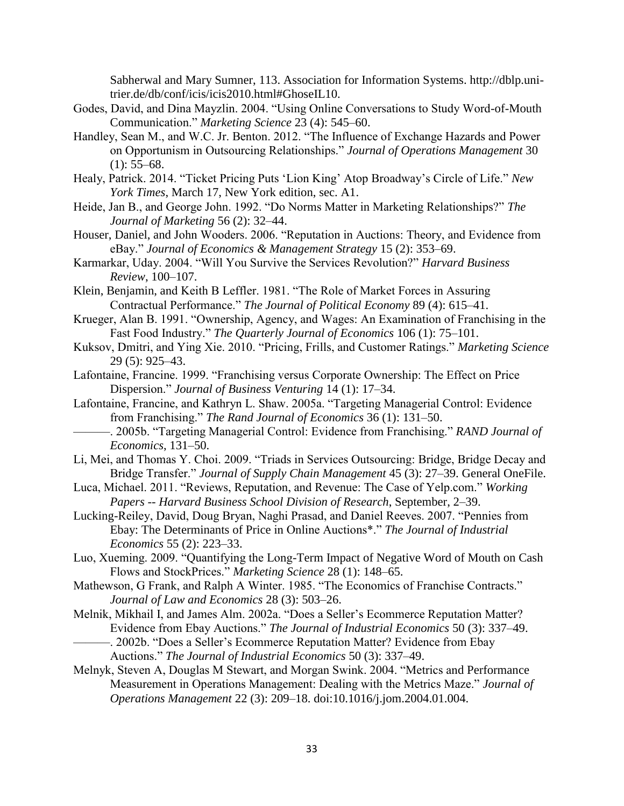Sabherwal and Mary Sumner, 113. Association for Information Systems. http://dblp.unitrier.de/db/conf/icis/icis2010.html#GhoseIL10.

- Godes, David, and Dina Mayzlin. 2004. "Using Online Conversations to Study Word-of-Mouth Communication." *Marketing Science* 23 (4): 545–60.
- Handley, Sean M., and W.C. Jr. Benton. 2012. "The Influence of Exchange Hazards and Power on Opportunism in Outsourcing Relationships." *Journal of Operations Management* 30  $(1): 55-68.$
- Healy, Patrick. 2014. "Ticket Pricing Puts 'Lion King' Atop Broadway's Circle of Life." *New York Times*, March 17, New York edition, sec. A1.
- Heide, Jan B., and George John. 1992. "Do Norms Matter in Marketing Relationships?" *The Journal of Marketing* 56 (2): 32–44.
- Houser, Daniel, and John Wooders. 2006. "Reputation in Auctions: Theory, and Evidence from eBay." *Journal of Economics & Management Strategy* 15 (2): 353–69.
- Karmarkar, Uday. 2004. "Will You Survive the Services Revolution?" *Harvard Business Review*, 100–107.
- Klein, Benjamin, and Keith B Leffler. 1981. "The Role of Market Forces in Assuring Contractual Performance." *The Journal of Political Economy* 89 (4): 615–41.
- Krueger, Alan B. 1991. "Ownership, Agency, and Wages: An Examination of Franchising in the Fast Food Industry." *The Quarterly Journal of Economics* 106 (1): 75–101.
- Kuksov, Dmitri, and Ying Xie. 2010. "Pricing, Frills, and Customer Ratings." *Marketing Science* 29 (5): 925–43.
- Lafontaine, Francine. 1999. "Franchising versus Corporate Ownership: The Effect on Price Dispersion." *Journal of Business Venturing* 14 (1): 17–34.
- Lafontaine, Francine, and Kathryn L. Shaw. 2005a. "Targeting Managerial Control: Evidence from Franchising." *The Rand Journal of Economics* 36 (1): 131–50.
	- ———. 2005b. "Targeting Managerial Control: Evidence from Franchising." *RAND Journal of Economics*, 131–50.
- Li, Mei, and Thomas Y. Choi. 2009. "Triads in Services Outsourcing: Bridge, Bridge Decay and Bridge Transfer." *Journal of Supply Chain Management* 45 (3): 27–39. General OneFile.
- Luca, Michael. 2011. "Reviews, Reputation, and Revenue: The Case of Yelp.com." *Working Papers -- Harvard Business School Division of Research*, September, 2–39.
- Lucking-Reiley, David, Doug Bryan, Naghi Prasad, and Daniel Reeves. 2007. "Pennies from Ebay: The Determinants of Price in Online Auctions\*." *The Journal of Industrial Economics* 55 (2): 223–33.
- Luo, Xueming. 2009. "Quantifying the Long-Term Impact of Negative Word of Mouth on Cash Flows and StockPrices." *Marketing Science* 28 (1): 148–65.
- Mathewson, G Frank, and Ralph A Winter. 1985. "The Economics of Franchise Contracts." *Journal of Law and Economics* 28 (3): 503–26.
- Melnik, Mikhail I, and James Alm. 2002a. "Does a Seller's Ecommerce Reputation Matter? Evidence from Ebay Auctions." *The Journal of Industrial Economics* 50 (3): 337–49. -. 2002b. "Does a Seller's Ecommerce Reputation Matter? Evidence from Ebay
	- Auctions." *The Journal of Industrial Economics* 50 (3): 337–49.
- Melnyk, Steven A, Douglas M Stewart, and Morgan Swink. 2004. "Metrics and Performance Measurement in Operations Management: Dealing with the Metrics Maze." *Journal of Operations Management* 22 (3): 209–18. doi:10.1016/j.jom.2004.01.004.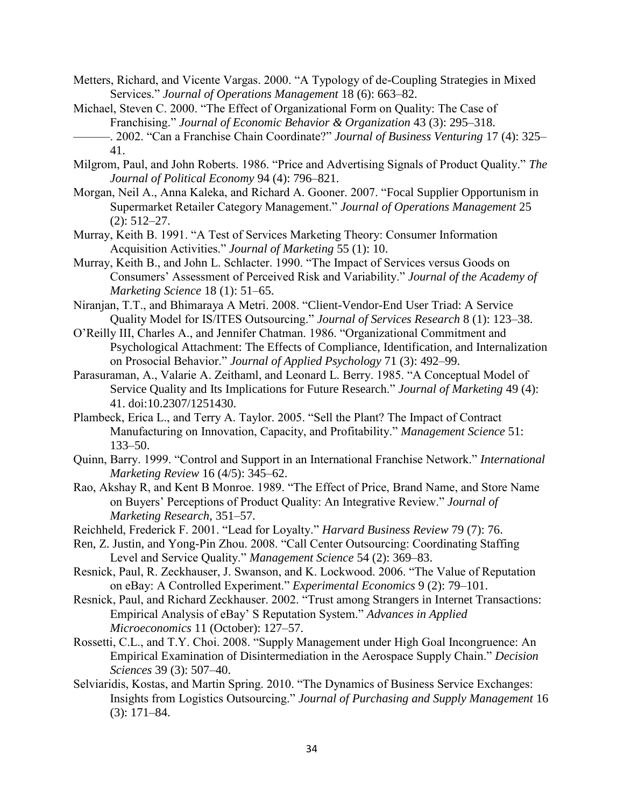- Metters, Richard, and Vicente Vargas. 2000. "A Typology of de-Coupling Strategies in Mixed Services." *Journal of Operations Management* 18 (6): 663–82.
- Michael, Steven C. 2000. "The Effect of Organizational Form on Quality: The Case of Franchising." *Journal of Economic Behavior & Organization* 43 (3): 295–318. ———. 2002. "Can a Franchise Chain Coordinate?" *Journal of Business Venturing* 17 (4): 325– 41.
- Milgrom, Paul, and John Roberts. 1986. "Price and Advertising Signals of Product Quality." *The Journal of Political Economy* 94 (4): 796–821.
- Morgan, Neil A., Anna Kaleka, and Richard A. Gooner. 2007. "Focal Supplier Opportunism in Supermarket Retailer Category Management." *Journal of Operations Management* 25 (2): 512–27.
- Murray, Keith B. 1991. "A Test of Services Marketing Theory: Consumer Information Acquisition Activities." *Journal of Marketing* 55 (1): 10.
- Murray, Keith B., and John L. Schlacter. 1990. "The Impact of Services versus Goods on Consumers' Assessment of Perceived Risk and Variability." *Journal of the Academy of Marketing Science* 18 (1): 51–65.
- Niranjan, T.T., and Bhimaraya A Metri. 2008. "Client-Vendor-End User Triad: A Service Quality Model for IS/ITES Outsourcing." *Journal of Services Research* 8 (1): 123–38.
- O'Reilly III, Charles A., and Jennifer Chatman. 1986. "Organizational Commitment and Psychological Attachment: The Effects of Compliance, Identification, and Internalization on Prosocial Behavior." *Journal of Applied Psychology* 71 (3): 492–99.
- Parasuraman, A., Valarie A. Zeithaml, and Leonard L. Berry. 1985. "A Conceptual Model of Service Quality and Its Implications for Future Research." *Journal of Marketing* 49 (4): 41. doi:10.2307/1251430.
- Plambeck, Erica L., and Terry A. Taylor. 2005. "Sell the Plant? The Impact of Contract Manufacturing on Innovation, Capacity, and Profitability." *Management Science* 51: 133–50.
- Quinn, Barry. 1999. "Control and Support in an International Franchise Network." *International Marketing Review* 16 (4/5): 345–62.
- Rao, Akshay R, and Kent B Monroe. 1989. "The Effect of Price, Brand Name, and Store Name on Buyers' Perceptions of Product Quality: An Integrative Review." *Journal of Marketing Research*, 351–57.
- Reichheld, Frederick F. 2001. "Lead for Loyalty." *Harvard Business Review* 79 (7): 76.
- Ren, Z. Justin, and Yong-Pin Zhou. 2008. "Call Center Outsourcing: Coordinating Staffing Level and Service Quality." *Management Science* 54 (2): 369–83.
- Resnick, Paul, R. Zeckhauser, J. Swanson, and K. Lockwood. 2006. "The Value of Reputation on eBay: A Controlled Experiment." *Experimental Economics* 9 (2): 79–101.
- Resnick, Paul, and Richard Zeckhauser. 2002. "Trust among Strangers in Internet Transactions: Empirical Analysis of eBay' S Reputation System." *Advances in Applied Microeconomics* 11 (October): 127–57.
- Rossetti, C.L., and T.Y. Choi. 2008. "Supply Management under High Goal Incongruence: An Empirical Examination of Disintermediation in the Aerospace Supply Chain." *Decision Sciences* 39 (3): 507–40.
- Selviaridis, Kostas, and Martin Spring. 2010. "The Dynamics of Business Service Exchanges: Insights from Logistics Outsourcing." *Journal of Purchasing and Supply Management* 16 (3): 171–84.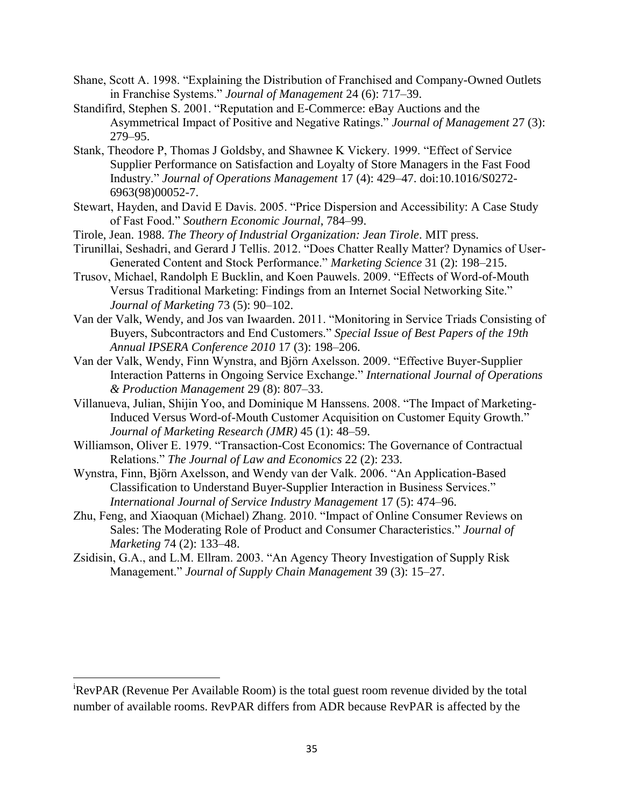- Shane, Scott A. 1998. "Explaining the Distribution of Franchised and Company-Owned Outlets in Franchise Systems." *Journal of Management* 24 (6): 717–39.
- Standifird, Stephen S. 2001. "Reputation and E-Commerce: eBay Auctions and the Asymmetrical Impact of Positive and Negative Ratings." *Journal of Management* 27 (3): 279–95.
- Stank, Theodore P, Thomas J Goldsby, and Shawnee K Vickery. 1999. "Effect of Service Supplier Performance on Satisfaction and Loyalty of Store Managers in the Fast Food Industry." *Journal of Operations Management* 17 (4): 429–47. doi:10.1016/S0272- 6963(98)00052-7.
- Stewart, Hayden, and David E Davis. 2005. "Price Dispersion and Accessibility: A Case Study of Fast Food." *Southern Economic Journal*, 784–99.
- Tirole, Jean. 1988. *The Theory of Industrial Organization: Jean Tirole*. MIT press.
- Tirunillai, Seshadri, and Gerard J Tellis. 2012. "Does Chatter Really Matter? Dynamics of User-Generated Content and Stock Performance." *Marketing Science* 31 (2): 198–215.
- Trusov, Michael, Randolph E Bucklin, and Koen Pauwels. 2009. "Effects of Word-of-Mouth Versus Traditional Marketing: Findings from an Internet Social Networking Site." *Journal of Marketing* 73 (5): 90–102.
- Van der Valk, Wendy, and Jos van Iwaarden. 2011. "Monitoring in Service Triads Consisting of Buyers, Subcontractors and End Customers." *Special Issue of Best Papers of the 19th Annual IPSERA Conference 2010* 17 (3): 198–206.
- Van der Valk, Wendy, Finn Wynstra, and Björn Axelsson. 2009. "Effective Buyer-Supplier Interaction Patterns in Ongoing Service Exchange." *International Journal of Operations & Production Management* 29 (8): 807–33.
- Villanueva, Julian, Shijin Yoo, and Dominique M Hanssens. 2008. "The Impact of Marketing-Induced Versus Word-of-Mouth Customer Acquisition on Customer Equity Growth." *Journal of Marketing Research (JMR)* 45 (1): 48–59.
- Williamson, Oliver E. 1979. "Transaction-Cost Economics: The Governance of Contractual Relations." *The Journal of Law and Economics* 22 (2): 233.
- Wynstra, Finn, Björn Axelsson, and Wendy van der Valk. 2006. "An Application-Based Classification to Understand Buyer-Supplier Interaction in Business Services." *International Journal of Service Industry Management* 17 (5): 474–96.
- Zhu, Feng, and Xiaoquan (Michael) Zhang. 2010. "Impact of Online Consumer Reviews on Sales: The Moderating Role of Product and Consumer Characteristics." *Journal of Marketing* 74 (2): 133–48.
- Zsidisin, G.A., and L.M. Ellram. 2003. "An Agency Theory Investigation of Supply Risk Management." *Journal of Supply Chain Management* 39 (3): 15–27.

 $\overline{a}$ 

<sup>i</sup>RevPAR (Revenue Per Available Room) is the total guest room revenue divided by the total number of available rooms. RevPAR differs from ADR because RevPAR is affected by the